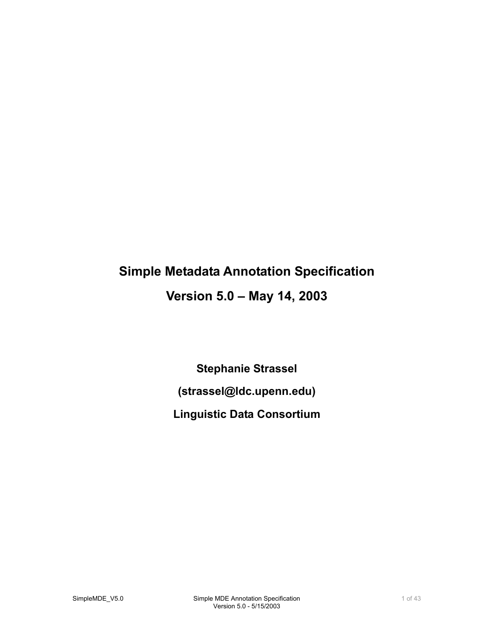# **Simple Metadata Annotation Specification**

# **Version 5.0 – May 14, 2003**

**Stephanie Strassel (strassel@ldc.upenn.edu) Linguistic Data Consortium**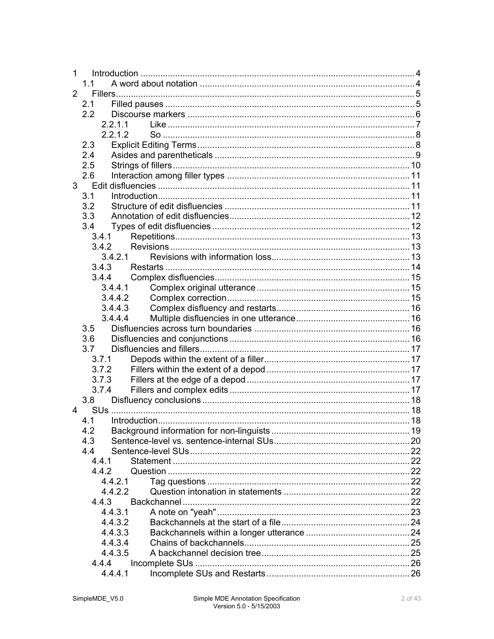| 1              |             |  |
|----------------|-------------|--|
|                | 11          |  |
| $\overline{2}$ |             |  |
|                | 2.1         |  |
|                | 2.2         |  |
|                | 2.2.1.1     |  |
|                | 2.2.1.2     |  |
|                | 2.3         |  |
|                | 2.4         |  |
|                | 2.5         |  |
|                | 2.6         |  |
|                | $3^{\circ}$ |  |
|                | 3.1         |  |
|                | 3.2         |  |
|                | 3.3         |  |
|                | 3.4         |  |
|                | 3.4.1       |  |
|                | 3.4.2       |  |
|                | 3.4.2.1     |  |
|                | 3.4.3       |  |
|                | 3.4.4       |  |
|                | 3.4.4.1     |  |
|                | 3.4.4.2     |  |
|                | 3.4.4.3     |  |
|                | 3.4.4.4     |  |
|                | 3.5         |  |
|                | 3.6         |  |
|                | 3.7         |  |
|                | 3.7.1       |  |
|                | 3.7.2       |  |
|                | 3.7.3       |  |
|                | 3.7.4       |  |
|                | 3.8         |  |
| 4              |             |  |
|                | 4.1         |  |
|                | 4.2         |  |
|                | 4.3         |  |
|                | 4.4         |  |
|                | 441         |  |
|                | 442         |  |
|                | 4421        |  |
|                | 4.4.2.2     |  |
|                | 4.4.3       |  |
|                | 4.4.3.1     |  |
|                | 4.4.3.2     |  |
|                | 4.4.3.3     |  |
|                | 4.4.3.4     |  |
|                | 4.4.3.5     |  |
|                | 4.4.4       |  |
|                | 4.4.4.1     |  |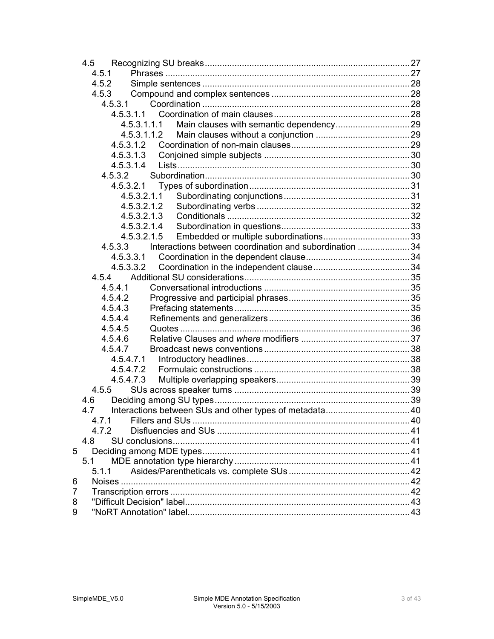|   | 4.5        |                                                        |  |
|---|------------|--------------------------------------------------------|--|
|   | 4.5.1      |                                                        |  |
|   | 4.5.2      |                                                        |  |
|   | 4.5.3      |                                                        |  |
|   | 4.5.3.1    |                                                        |  |
|   |            |                                                        |  |
|   |            | 4.5.3.1.1.1                                            |  |
|   |            | 4.5.3.1.1.2                                            |  |
|   | 4.5.3.1.2  |                                                        |  |
|   | 4.5.3.1.3  |                                                        |  |
|   | 4.5.3.1.4  |                                                        |  |
|   | 4.5.3.2    |                                                        |  |
|   |            |                                                        |  |
|   |            | 4.5.3.2.1.1                                            |  |
|   |            | 4.5.3.2.1.2                                            |  |
|   |            | 4.5.3.2.1.3                                            |  |
|   |            | 4.5.3.2.1.4                                            |  |
|   |            | 4.5.3.2.1.5                                            |  |
|   | 4.5.3.3    | Interactions between coordination and subordination 34 |  |
|   | 4.5.3.3.1  |                                                        |  |
|   | 4.5.3.3.2  |                                                        |  |
|   | 4.5.4      |                                                        |  |
|   | 4.5.4.1    |                                                        |  |
|   | 4.5.4.2    |                                                        |  |
|   | 4.5.4.3    |                                                        |  |
|   | 4.5.4.4    |                                                        |  |
|   | 4.5.4.5    |                                                        |  |
|   | 4.5.4.6    |                                                        |  |
|   | 4.5.4.7    |                                                        |  |
|   | 4.5.4.7.1  |                                                        |  |
|   | 4.5.4.7.2  |                                                        |  |
|   | 4.5.4.7.3  |                                                        |  |
|   | 4.5.5      |                                                        |  |
|   | 4.6<br>4.7 |                                                        |  |
|   |            |                                                        |  |
|   | 4.7.2      |                                                        |  |
|   | 4.8        |                                                        |  |
| 5 |            |                                                        |  |
|   | 5.1        |                                                        |  |
|   | 5.1.1      |                                                        |  |
| 6 |            |                                                        |  |
| 7 |            |                                                        |  |
| 8 |            |                                                        |  |
| 9 |            |                                                        |  |
|   |            |                                                        |  |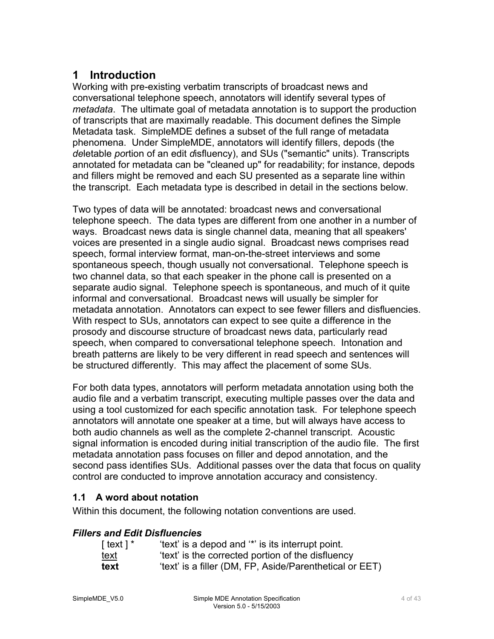# <span id="page-3-0"></span>**1 Introduction**

Working with pre-existing verbatim transcripts of broadcast news and conversational telephone speech, annotators will identify several types of *metadata*. The ultimate goal of metadata annotation is to support the production of transcripts that are maximally readable. This document defines the Simple Metadata task. SimpleMDE defines a subset of the full range of metadata phenomena. Under SimpleMDE, annotators will identify fillers, depods (the *de*letable *po*rtion of an edit *d*isfluency), and SUs ("semantic" units). Transcripts annotated for metadata can be "cleaned up" for readability; for instance, depods and fillers might be removed and each SU presented as a separate line within the transcript. Each metadata type is described in detail in the sections below.

Two types of data will be annotated: broadcast news and conversational telephone speech. The data types are different from one another in a number of ways. Broadcast news data is single channel data, meaning that all speakers' voices are presented in a single audio signal. Broadcast news comprises read speech, formal interview format, man-on-the-street interviews and some spontaneous speech, though usually not conversational. Telephone speech is two channel data, so that each speaker in the phone call is presented on a separate audio signal. Telephone speech is spontaneous, and much of it quite informal and conversational. Broadcast news will usually be simpler for metadata annotation. Annotators can expect to see fewer fillers and disfluencies. With respect to SUs, annotators can expect to see quite a difference in the prosody and discourse structure of broadcast news data, particularly read speech, when compared to conversational telephone speech. Intonation and breath patterns are likely to be very different in read speech and sentences will be structured differently. This may affect the placement of some SUs.

For both data types, annotators will perform metadata annotation using both the audio file and a verbatim transcript, executing multiple passes over the data and using a tool customized for each specific annotation task. For telephone speech annotators will annotate one speaker at a time, but will always have access to both audio channels as well as the complete 2-channel transcript. Acoustic signal information is encoded during initial transcription of the audio file. The first metadata annotation pass focuses on filler and depod annotation, and the second pass identifies SUs. Additional passes over the data that focus on quality control are conducted to improve annotation accuracy and consistency.

### **1.1 A word about notation**

Within this document, the following notation conventions are used.

### *Fillers and Edit Disfluencies*

| $\lceil \text{text} \rceil$ * | 'text' is a depod and '*' is its interrupt point.       |
|-------------------------------|---------------------------------------------------------|
| <u>text</u>                   | 'text' is the corrected portion of the disfluency       |
| text                          | 'text' is a filler (DM, FP, Aside/Parenthetical or EET) |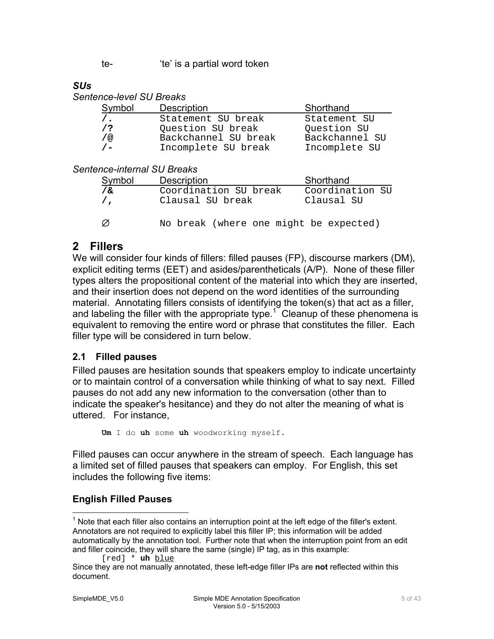te- 'te' is a partial word token

#### <span id="page-4-0"></span>*SUs*

*Sentence-level SU Breaks* 

| Symbol       | <b>Description</b>   | Shorthand      |
|--------------|----------------------|----------------|
| $\prime$ .   | Statement SU break   | Statement SU   |
| $\sqrt{2}$   | Question SU break    | Question SU    |
| / @          | Backchannel SU break | Backchannel SU |
| $\prime$ $-$ | Incomplete SU break  | Incomplete SU  |

#### *Sentence-internal SU Breaks*

| <b>Symbol</b>     | <b>Description</b>                        | Shorthand                     |
|-------------------|-------------------------------------------|-------------------------------|
| ∕ &<br>$\sqrt{ }$ | Coordination SU break<br>Clausal SU break | Coordination SU<br>Clausal SU |
| - 01              | No break (where one might be expected)    |                               |

# **2 Fillers**

We will consider four kinds of fillers: filled pauses (FP), discourse markers (DM), explicit editing terms (EET) and asides/parentheticals (A/P). None of these filler types alters the propositional content of the material into which they are inserted, and their insertion does not depend on the word identities of the surrounding material. Annotating fillers consists of identifying the token(s) that act as a filler, and labeling the filler with the appropriate type.<sup>[1](#page-4-1)</sup> Cleanup of these phenomena is equivalent to removing the entire word or phrase that constitutes the filler. Each filler type will be considered in turn below.

### **2.1 Filled pauses**

Filled pauses are hesitation sounds that speakers employ to indicate uncertainty or to maintain control of a conversation while thinking of what to say next. Filled pauses do not add any new information to the conversation (other than to indicate the speaker's hesitance) and they do not alter the meaning of what is uttered. For instance,

**Um** I do **uh** some **uh** woodworking myself.

Filled pauses can occur anywhere in the stream of speech. Each language has a limited set of filled pauses that speakers can employ. For English, this set includes the following five items:

### **English Filled Pauses**

```
[red] * uh blue
```
<span id="page-4-1"></span><sup>1&</sup>lt;br><sup>1</sup> Note that each filler also contains an interruption point at the left edge of the filler's extent. Annotators are not required to explicitly label this filler IP; this information will be added automatically by the annotation tool. Further note that when the interruption point from an edit and filler coincide, they will share the same (single) IP tag, as in this example:

Since they are not manually annotated, these left-edge filler IPs are **not** reflected within this document.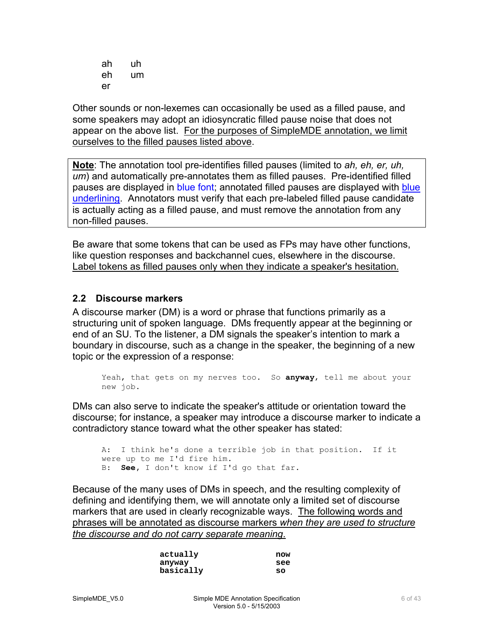<span id="page-5-0"></span>ah uh eh um er

Other sounds or non-lexemes can occasionally be used as a filled pause, and some speakers may adopt an idiosyncratic filled pause noise that does not appear on the above list. For the purposes of SimpleMDE annotation, we limit ourselves to the filled pauses listed above.

**Note**: The annotation tool pre-identifies filled pauses (limited to *ah, eh, er, uh, um*) and automatically pre-annotates them as filled pauses. Pre-identified filled pauses are displayed in blue font; annotated filled pauses are displayed with blue underlining. Annotators must verify that each pre-labeled filled pause candidate is actually acting as a filled pause, and must remove the annotation from any non-filled pauses.

Be aware that some tokens that can be used as FPs may have other functions, like question responses and backchannel cues, elsewhere in the discourse. Label tokens as filled pauses only when they indicate a speaker's hesitation.

#### **2.2 Discourse markers**

A discourse marker (DM) is a word or phrase that functions primarily as a structuring unit of spoken language. DMs frequently appear at the beginning or end of an SU. To the listener, a DM signals the speaker's intention to mark a boundary in discourse, such as a change in the speaker, the beginning of a new topic or the expression of a response:

```
Yeah, that gets on my nerves too. So anyway, tell me about your 
new job.
```
DMs can also serve to indicate the speaker's attitude or orientation toward the discourse; for instance, a speaker may introduce a discourse marker to indicate a contradictory stance toward what the other speaker has stated:

```
A: I think he's done a terrible job in that position. If it 
were up to me I'd fire him. 
B: See, I don't know if I'd go that far.
```
Because of the many uses of DMs in speech, and the resulting complexity of defining and identifying them, we will annotate only a limited set of discourse markers that are used in clearly recognizable ways. The following words and phrases will be annotated as discourse markers *when they are used to structure the discourse and do not carry separate meaning*.

| actually  | now |
|-----------|-----|
| anyway    | see |
| basically | SO  |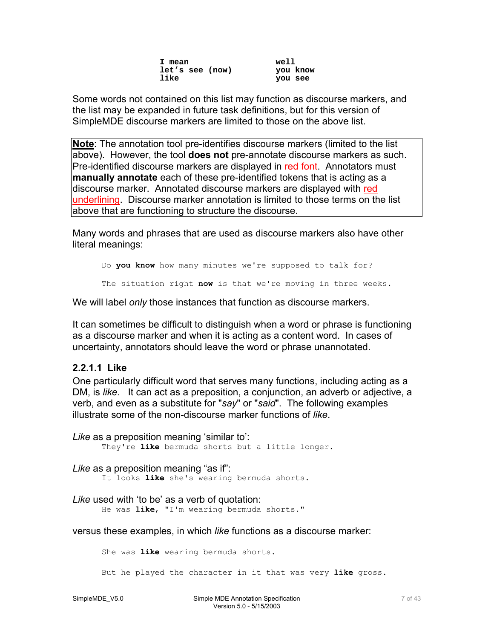**I mean well let's see (now)**<br>like

**like you see** 

<span id="page-6-0"></span>Some words not contained on this list may function as discourse markers, and the list may be expanded in future task definitions, but for this version of SimpleMDE discourse markers are limited to those on the above list.

**Note**: The annotation tool pre-identifies discourse markers (limited to the list above). However, the tool **does not** pre-annotate discourse markers as such. Pre-identified discourse markers are displayed in red font. Annotators must **manually annotate** each of these pre-identified tokens that is acting as a discourse marker. Annotated discourse markers are displayed with red underlining. Discourse marker annotation is limited to those terms on the list above that are functioning to structure the discourse.

Many words and phrases that are used as discourse markers also have other literal meanings:

Do **you know** how many minutes we're supposed to talk for? The situation right **now** is that we're moving in three weeks.

We will label *only* those instances that function as discourse markers.

It can sometimes be difficult to distinguish when a word or phrase is functioning as a discourse marker and when it is acting as a content word. In cases of uncertainty, annotators should leave the word or phrase unannotated.

#### **2.2.1.1 Like**

One particularly difficult word that serves many functions, including acting as a DM, is *like.* It can act as a preposition, a conjunction, an adverb or adjective, a verb, and even as a substitute for "*say*" or "*said*". The following examples illustrate some of the non-discourse marker functions of *like*.

*Like* as a preposition meaning 'similar to': They're **like** bermuda shorts but a little longer.

*Like* as a preposition meaning "as if":

It looks **like** she's wearing bermuda shorts.

*Like* used with 'to be' as a verb of quotation:

He was **like**, "I'm wearing bermuda shorts."

versus these examples, in which *like* functions as a discourse marker:

She was **like** wearing bermuda shorts.

But he played the character in it that was very **like** gross.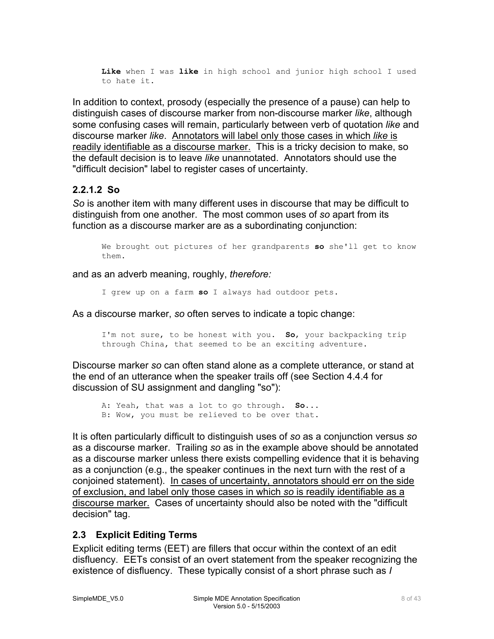<span id="page-7-0"></span>**Like** when I was **like** in high school and junior high school I used to hate it.

In addition to context, prosody (especially the presence of a pause) can help to distinguish cases of discourse marker from non-discourse marker *like*, although some confusing cases will remain, particularly between verb of quotation *like* and discourse marker *like*. Annotators will label only those cases in which *like* is readily identifiable as a discourse marker. This is a tricky decision to make, so the default decision is to leave *like* unannotated. Annotators should use the "difficult decision" label to register cases of uncertainty.

#### **2.2.1.2 So**

*So* is another item with many different uses in discourse that may be difficult to distinguish from one another. The most common uses of *so* apart from its function as a discourse marker are as a subordinating conjunction:

We brought out pictures of her grandparents **so** she'll get to know them.

and as an adverb meaning, roughly, *therefore:*

I grew up on a farm **so** I always had outdoor pets.

As a discourse marker, *so* often serves to indicate a topic change:

I'm not sure, to be honest with you. **So**, your backpacking trip through China, that seemed to be an exciting adventure.

Discourse marker *so* can often stand alone as a complete utterance, or stand at the end of an utterance when the speaker trails off (see Section 4.4.4 for discussion of SU assignment and dangling "so"):

A: Yeah, that was a lot to go through. **So**... B: Wow, you must be relieved to be over that.

It is often particularly difficult to distinguish uses of *so* as a conjunction versus *so* as a discourse marker. Trailing *so* as in the example above should be annotated as a discourse marker unless there exists compelling evidence that it is behaving as a conjunction (e.g., the speaker continues in the next turn with the rest of a conjoined statement). In cases of uncertainty, annotators should err on the side of exclusion, and label only those cases in which *so* is readily identifiable as a discourse marker. Cases of uncertainty should also be noted with the "difficult decision" tag.

### **2.3 Explicit Editing Terms**

Explicit editing terms (EET) are fillers that occur within the context of an edit disfluency. EETs consist of an overt statement from the speaker recognizing the existence of disfluency. These typically consist of a short phrase such as *I*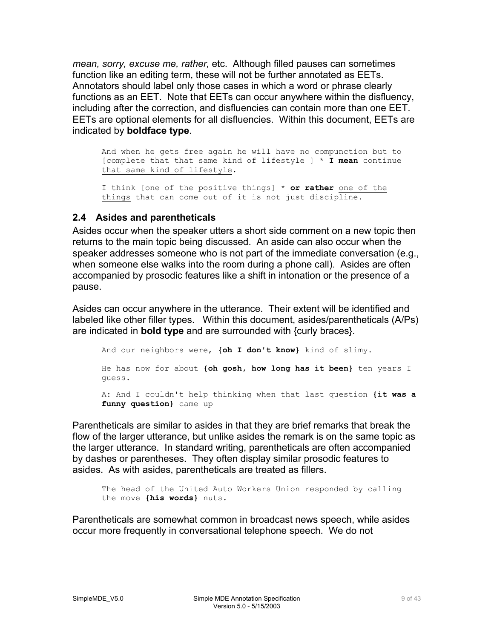<span id="page-8-0"></span>*mean, sorry, excuse me, rather,* etc. Although filled pauses can sometimes function like an editing term, these will not be further annotated as EETs. Annotators should label only those cases in which a word or phrase clearly functions as an EET. Note that EETs can occur anywhere within the disfluency, including after the correction, and disfluencies can contain more than one EET. EETs are optional elements for all disfluencies. Within this document, EETs are indicated by **boldface type**.

And when he gets free again he will have no compunction but to [complete that that same kind of lifestyle ] \* **I mean** continue that same kind of lifestyle.

I think [one of the positive things] \* **or rather** one of the things that can come out of it is not just discipline.

#### **2.4 Asides and parentheticals**

Asides occur when the speaker utters a short side comment on a new topic then returns to the main topic being discussed. An aside can also occur when the speaker addresses someone who is not part of the immediate conversation (e.g., when someone else walks into the room during a phone call). Asides are often accompanied by prosodic features like a shift in intonation or the presence of a pause.

Asides can occur anywhere in the utterance. Their extent will be identified and labeled like other filler types. Within this document, asides/parentheticals (A/Ps) are indicated in **bold type** and are surrounded with {curly braces}.

An d our neighbors were, **{oh I don't know}** kind of slimy. He has now for about **{oh gosh, how long has it been}** ten years I guess. A: And I couldn't help thinking when that last question **{it was a funny question}** came up

Parentheticals are similar to asides in that they are brief remarks that break the flow of the larger utterance, but unlike asides the remark is on the same topic as the larger utterance. In standard writing, parentheticals are often accompanied by dashes or parentheses. They often display similar prosodic features to asides. As with asides, parentheticals are treated as fillers.

The head of the United Auto Workers Union responded by calling the move **{his words}** nuts.

Parentheticals are somewhat common in broadcast news speech, while asides occur more frequently in conversational telephone speech. We do not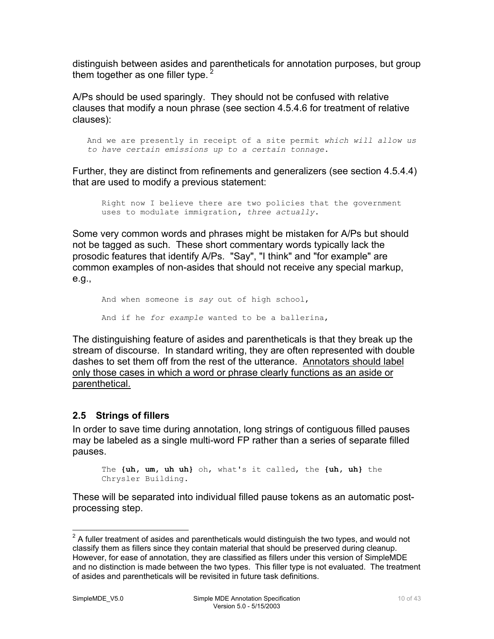<span id="page-9-0"></span>distinguish between asides and parentheticals for annotation purposes, but group them together as one filler type.

A/Ps should be used sparingly. They should not be confused with relative clauses that modify a noun phrase (see section 4.5.4.6 for treatment of relative clauses):

And we are presently in receipt of a site permit *which will allow us to have certain emissions up to a certain tonnage***.**

Further, they are distinct from refinements and generalizers (see section 4.5.4.4) that are used to modify a previous statement:

Right now I believe there are two policies that the government uses to modulate immigration**,** *three actually***.**

Some very common words and phrases might be mistaken for A/Ps but should not be tagged as such. These short commentary words typically lack the prosodic features that identify A/Ps. "Say", "I think" and "for example" are common examples of non-asides that should not receive any special markup, e.g.,

And when someone is *say* out of high school, And if he *for example* wanted to be a ballerina,

The distinguishing feature of asides and parentheticals is that they break up the stream of discourse. In standard writing, they are often represented with double dashes to set them off from the rest of the utterance. Annotators should label only those cases in which a word or phrase clearly functions as an aside or parenthetical.

#### **2.5 Strings of fillers**

In order to save time during annotation, long strings of contiguous filled pauses may be labeled as a single multi-word FP rather than a series of separate filled pauses.

The **{uh, um, uh uh}** oh, what's it called, the **{uh, uh}** the Chrysler Building.

These will be separated into individual filled pause tokens as an automatic postprocessing step.

<span id="page-9-1"></span> <sup>2</sup> A fuller treatment of asides and parentheticals would distinguish the two types, and would not classify them as fillers since they contain material that should be preserved during cleanup. However, for ease of annotation, they are classified as fillers under this version of SimpleMDE and no distinction is made between the two types. This filler type is not evaluated. The treatment of asides and parentheticals will be revisited in future task definitions.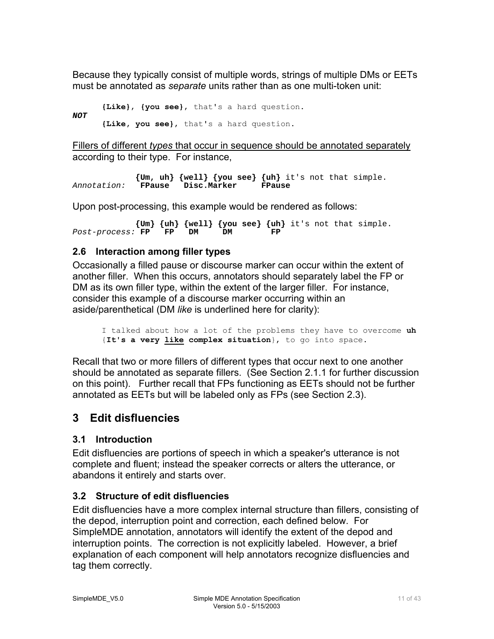<span id="page-10-0"></span>Because they typically consist of multiple words, strings of multiple DMs or EETs must be annotated as *separate* units rather than as one multi-token unit:

```
{Like}, {you see}, that's a hard question. 
NOT 
      {Like, you see}, that's a hard question.
```
Fillers of different *types* that occur in sequence should be annotated separately according to their type. For instance,

 **{Um, uh} {well} {you see} {uh}** it's not that simple. Annotation: **FPause** Disc.Marker

Upon post-processing, this example would be rendered as follows:

 **{Um} {uh} {well} {you see} {uh}** it's not that simple. Post-process: **FP** 

#### **2.6 Interaction among filler types**

Occasionally a filled pause or discourse marker can occur within the extent of another filler. When this occurs, annotators should separately label the FP or DM as its own filler type, within the extent of the larger filler. For instance, consider this example of a discourse marker occurring within an aside/parenthetical (DM *like* is underlined here for clarity):

I talked about how a lot of the problems they have to overcome **uh** {**It's a very like complex situation**}, to go into space.

Recall that two or more fillers of different types that occur next to one another should be annotated as separate fillers. (See Section 2.1.1 for further discussion on this point). Further recall that FPs functioning as EETs should not be further annotated as EETs but will be labeled only as FPs (see Section 2.3).

# **3 Edit disfluencies**

### **3.1 Introduction**

Edit disfluencies are portions of speech in which a speaker's utterance is not complete and fluent; instead the speaker corrects or alters the utterance, or abandons it entirely and starts over.

### **3.2 Structure of edit disfluencies**

Edit disfluencies have a more complex internal structure than fillers, consisting of the depod, interruption point and correction, each defined below. For SimpleMDE annotation, annotators will identify the extent of the depod and interruption points. The correction is not explicitly labeled. However, a brief explanation of each component will help annotators recognize disfluencies and tag them correctly.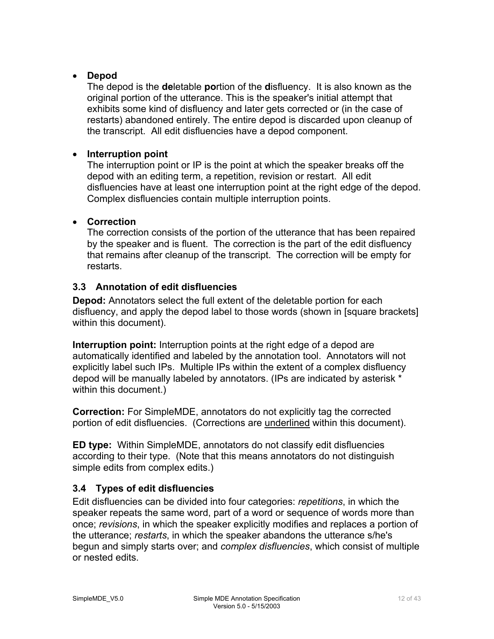#### <span id="page-11-0"></span>• **Depod**

The depod is the **de**letable **po**rtion of the **d**isfluency. It is also known as the original portion of the utterance. This is the speaker's initial attempt that exhibits some kind of disfluency and later gets corrected or (in the case of restarts) abandoned entirely. The entire depod is discarded upon cleanup of the transcript. All edit disfluencies have a depod component.

#### • **Interruption point**

The interruption point or IP is the point at which the speaker breaks off the depod with an editing term, a repetition, revision or restart. All edit disfluencies have at least one interruption point at the right edge of the depod. Complex disfluencies contain multiple interruption points.

#### • **Correction**

The correction consists of the portion of the utterance that has been repaired by the speaker and is fluent. The correction is the part of the edit disfluency that remains after cleanup of the transcript. The correction will be empty for restarts.

#### **3.3 Annotation of edit disfluencies**

**Depod:** Annotators select the full extent of the deletable portion for each disfluency, and apply the depod label to those words (shown in [square brackets] within this document).

**Interruption point:** Interruption points at the right edge of a depod are automatically identified and labeled by the annotation tool. Annotators will not explicitly label such IPs. Multiple IPs within the extent of a complex disfluency depod will be manually labeled by annotators. (IPs are indicated by asterisk \* within this document.)

**Correction:** For SimpleMDE, annotators do not explicitly tag the corrected portion of edit disfluencies. (Corrections are underlined within this document).

**ED type:** Within SimpleMDE, annotators do not classify edit disfluencies according to their type. (Note that this means annotators do not distinguish simple edits from complex edits.)

### **3.4 Types of edit disfluencies**

Edit disfluencies can be divided into four categories: *repetitions*, in which the speaker repeats the same word, part of a word or sequence of words more than once; *revisions*, in which the speaker explicitly modifies and replaces a portion of the utterance; *restarts*, in which the speaker abandons the utterance s/he's begun and simply starts over; and *complex disfluencies*, which consist of multiple or nested edits.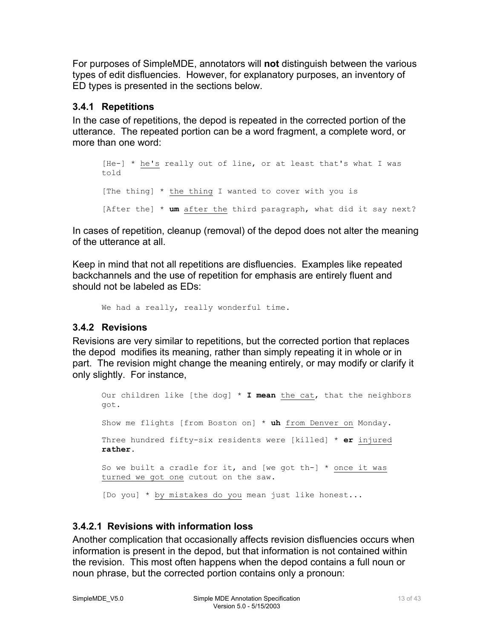<span id="page-12-0"></span>For purposes of SimpleMDE, annotators will **not** distinguish between the various types of edit disfluencies. However, for explanatory purposes, an inventory of ED types is presented in the sections below.

#### **3.4.1 Repetitions**

In the case of repetitions, the depod is repeated in the corrected portion of the utterance. The repeated portion can be a word fragment, a complete word, or more than one word:

```
[He-] * he's really out of line, or at least that's what I was 
told 
[The thing] * the thing I wanted to cover with you is 
[After the] * um after the third paragraph, what did it say next?
```
In cases of repetition, cleanup (removal) of the depod does not alter the meaning of the utterance at all.

Keep in mind that not all repetitions are disfluencies. Examples like repeated backchannels and the use of repetition for emphasis are entirely fluent and should not be labeled as EDs:

```
We had a really, really wonderful time.
```
### **3.4.2 Revisions**

Revisions are very similar to repetitions, but the corrected portion that replaces the depod modifies its meaning, rather than simply repeating it in whole or in part. The revision might change the meaning entirely, or may modify or clarify it only slightly. For instance,

```
Our children like [the dog] * I mean the cat, that the neighbors 
got. 
Show me flights [from Boston on] * uh from Denver on Monday. 
Three hundred fifty-six residents were [killed] * er injured
rather. 
So we built a cradle for it, and [we got th-] * once it was
turned we got one cutout on the saw. 
[Do you] * by mistakes do you mean just like honest...
```
#### **3.4.2.1 Revisions with information loss**

Another complication that occasionally affects revision disfluencies occurs when information is present in the depod, but that information is not contained within the revision. This most often happens when the depod contains a full noun or noun phrase, but the corrected portion contains only a pronoun: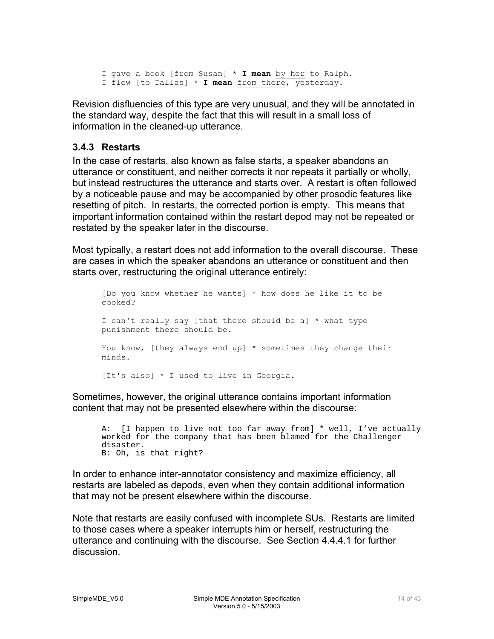<span id="page-13-0"></span>I gave a book [from Susan] \* **I mean** by her to Ralph. I flew [to Dallas] \* **I mean** from there, yesterday.

Revision disfluencies of this type are very unusual, and they will be annotated in the standard way, despite the fact that this will result in a small loss of information in the cleaned-up utterance.

#### **3.4.3 Restarts**

In the case of restarts, also known as false starts, a speaker abandons an utterance or constituent, and neither corrects it nor repeats it partially or wholly, but instead restructures the utterance and starts over. A restart is often followed by a noticeable pause and may be accompanied by other prosodic features like resetting of pitch. In restarts, the corrected portion is empty. This means that important information contained within the restart depod may not be repeated or restated by the speaker later in the discourse.

Most typically, a restart does not add information to the overall discourse. These are cases in which the speaker abandons an utterance or constituent and then starts over, restructuring the original utterance entirely:

[Do you know whether he wants] \* how does he like it to be cooked? I can't really say [that there should be a] \* what type punishment there should be. You know, [they always end up] \* sometimes they change their minds. [It's also] \* I used to live in Georgia.

Sometimes, however, the original utterance contains important information content that may not be presented elsewhere within the discourse:

A: [I happen to live not too far away from] \* well, I've actually worked for the company that has been blamed for the Challenger disaster. B: Oh, is that right?

In order to enhance inter-annotator consistency and maximize efficiency, all restarts are labeled as depods, even when they contain additional information that may not be present elsewhere within the discourse.

Note that restarts are easily confused with incomplete SUs. Restarts are limited to those cases where a speaker interrupts him or herself, restructuring the utterance and continuing with the discourse. See Section 4.4.4.1 for further discussion.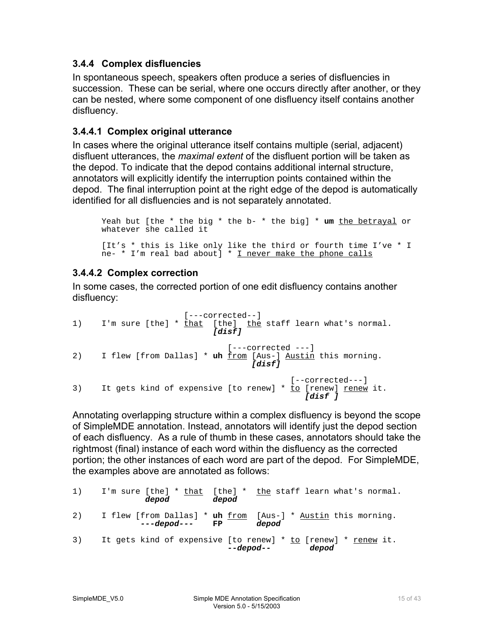#### <span id="page-14-0"></span>**3.4.4 Complex disfluencies**

In spontaneous speech, speakers often produce a series of disfluencies in succession. These can be serial, where one occurs directly after another, or they can be nested, where some component of one disfluency itself contains another disfluency.

#### **3.4.4.1 Complex original utterance**

In cases where the original utterance itself contains multiple (serial, adjacent) disfluent utterances, the *maximal extent* of the disfluent portion will be taken as the depod. To indicate that the depod contains additional internal structure, annotators will explicitly identify the interruption points contained within the depod. The final interruption point at the right edge of the depod is automatically identified for all disfluencies and is not separately annotated.

```
Yeah but [the * the big * the b- * the big] * um the betrayal or 
whatever she called it 
[It's * this is like only like the third or fourth time I've * I 
ne- * I'm real bad about] * I never make the phone calls
```
#### **3.4.4.2 Complex correction**

In some cases, the corrected portion of one edit disfluency contains another disfluency:

```
 [---corrected--]
1) I'm sure [the] * that [the] the staff learn what's normal.
                                 [disf] 
                                   [---corrected --]2) I flew [from Dallas] * uh from [Aus-] Austin this morning. [disf] 
[--corrected---]<br>It gets kind of expensive [to renew] * to [renew] renew
      It gets kind of expensive [to renew] * to [renew] renew it.<br>
[disf ]
```
Annotating overlapping structure within a complex disfluency is beyond the scope of SimpleMDE annotation. Instead, annotators will identify just the depod section of each disfluency. As a rule of thumb in these cases, annotators should take the rightmost (final) instance of each word within the disfluency as the corrected portion; the other instances of each word are part of the depod. For SimpleMDE, the examples above are annotated as follows:

| 1) | depod<br>depod   | I'm sure $[the]$ * that $[the]$ * the staff learn what's normal.                    |
|----|------------------|-------------------------------------------------------------------------------------|
| 2) | $---depod---$ FP | I flew [from Dallas] * <b>uh</b> from [Aus-] * Austin this morning.<br>depod        |
| 3) |                  | It gets kind of expensive [to renew] * to [renew] * renew it.<br>--depod--<br>depod |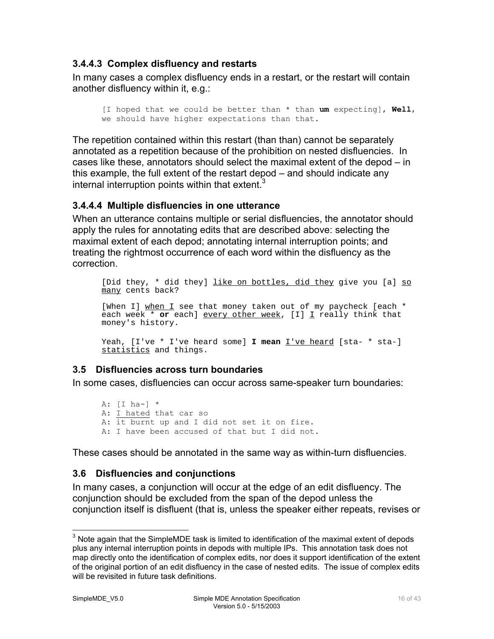#### <span id="page-15-0"></span>**3.4.4.3 Complex disfluency and restarts**

In many cases a complex disfluency ends in a restart, or the restart will contain another disfluency within it, e.g.:

[I hoped that we could be better than \* than **um** expecting], **Well**, we should have higher expectations than that.

The repetition contained within this restart (than than) cannot be separately annotated as a repetition because of the prohibition on nested disfluencies. In cases like these, annotators should select the maximal extent of the depod – in this example, the full extent of the restart depod – and should indicate any internal interruption points within that extent.<sup>[3](#page-15-1)</sup>

#### **3.4.4.4 Multiple disfluencies in one utterance**

When an utterance contains multiple or serial disfluencies, the annotator should apply the rules for annotating edits that are described above: selecting the maximal extent of each depod; annotating internal interruption points; and treating the rightmost occurrence of each word within the disfluency as the correction.

[Did they, \* did they] like on bottles, did they give you [a] so many cents back?

[When I] when I see that money taken out of my paycheck [each \* each week \* **or** each] every other week, [I] I really think that money's history.

Yeah, [I've \* I've heard some] **I mean** <u>I've heard</u> [sta- \* sta-] statistics and things.

#### **3.5 Disfluencies across turn boundaries**

In some cases, disfluencies can occur across same-speaker turn boundaries:

A:  $[I$  ha- $]$  \* A: I hated that car so A: it burnt up and I did not set it on fire. A: I have been accused of that but I did not.

These cases should be annotated in the same way as within-turn disfluencies.

#### **3.6 Disfluencies and conjunctions**

In many cases, a conjunction will occur at the edge of an edit disfluency. The conjunction should be excluded from the span of the depod unless the conjunction itself is disfluent (that is, unless the speaker either repeats, revises or

<span id="page-15-1"></span> <sup>3</sup> Note again that the SimpleMDE task is limited to identification of the maximal extent of depods plus any internal interruption points in depods with multiple IPs. This annotation task does not map directly onto the identification of complex edits, nor does it support identification of the extent of the original portion of an edit disfluency in the case of nested edits. The issue of complex edits will be revisited in future task definitions.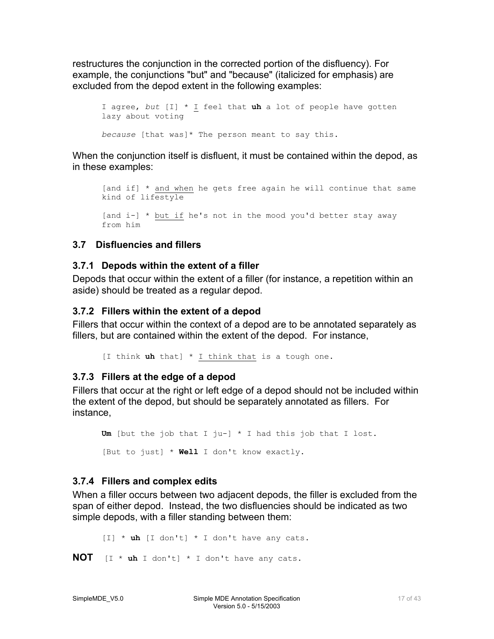<span id="page-16-0"></span>restructures the conjunction in the corrected portion of the disfluency). For example, the conjunctions "but" and "because" (italicized for emphasis) are excluded from the depod extent in the following examples:

I agree, *but* [I] \* I feel that **uh** a lot of people have gotten lazy about voting *because* [that was]\* The person meant to say this.

When the conjunction itself is disfluent, it must be contained within the depod, as in these examples:

```
[and if] * and when he gets free again he will continue that same 
kind of lifestyle 
[and i-] * but if he's not in the mood you'd better stay away 
from him
```
### **3.7 Disfluencies and fillers**

### **3.7.1 Depods within the extent of a filler**

Depods that occur within the extent of a filler (for instance, a repetition within an aside) should be treated as a regular depod.

### **3.7.2 Fillers within the extent of a depod**

Fillers that occur within the context of a depod are to be annotated separately as fillers, but are contained within the extent of the depod. For instance,

[I think **uh** that] \* I think that is a tough one.

### **3.7.3 Fillers at the edge of a depod**

Fillers that occur at the right or left edge of a depod should not be included within the extent of the depod, but should be separately annotated as fillers. For instance,

**Um** [but the job that I ju-] \* I had this job that I lost. [But to just] \* **Well** I don't know exactly.

# **3.7.4 Fillers and complex edits**

When a filler occurs between two adjacent depods, the filler is excluded from the span of either depod. Instead, the two disfluencies should be indicated as two simple depods, with a filler standing between them:

[I] \* **uh** [I don't] \* I don't have any cats.

**NOT** [I \* **uh** I don't] \* I don't have any cats.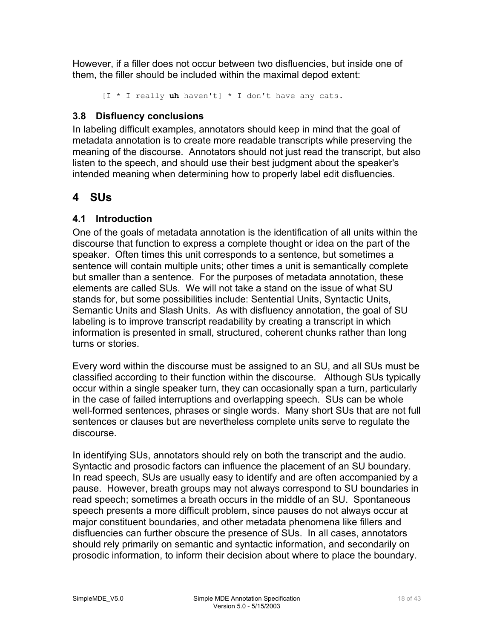<span id="page-17-0"></span>However, if a filler does not occur between two disfluencies, but inside one of them, the filler should be included within the maximal depod extent:

```
[I * I really uh haven't] * I don't have any cats.
```
#### **3.8 Disfluency conclusions**

In labeling difficult examples, annotators should keep in mind that the goal of metadata annotation is to create more readable transcripts while preserving the meaning of the discourse. Annotators should not just read the transcript, but also listen to the speech, and should use their best judgment about the speaker's intended meaning when determining how to properly label edit disfluencies.

# **4 SUs**

### **4.1 Introduction**

One of the goals of metadata annotation is the identification of all units within the discourse that function to express a complete thought or idea on the part of the speaker. Often times this unit corresponds to a sentence, but sometimes a sentence will contain multiple units; other times a unit is semantically complete but smaller than a sentence. For the purposes of metadata annotation, these elements are called SUs. We will not take a stand on the issue of what SU stands for, but some possibilities include: Sentential Units, Syntactic Units, Semantic Units and Slash Units. As with disfluency annotation, the goal of SU labeling is to improve transcript readability by creating a transcript in which information is presented in small, structured, coherent chunks rather than long turns or stories.

Every word within the discourse must be assigned to an SU, and all SUs must be classified according to their function within the discourse. Although SUs typically occur within a single speaker turn, they can occasionally span a turn, particularly in the case of failed interruptions and overlapping speech. SUs can be whole well-formed sentences, phrases or single words. Many short SUs that are not full sentences or clauses but are nevertheless complete units serve to regulate the discourse.

In identifying SUs, annotators should rely on both the transcript and the audio. Syntactic and prosodic factors can influence the placement of an SU boundary. In read speech, SUs are usually easy to identify and are often accompanied by a pause. However, breath groups may not always correspond to SU boundaries in read speech; sometimes a breath occurs in the middle of an SU. Spontaneous speech presents a more difficult problem, since pauses do not always occur at major constituent boundaries, and other metadata phenomena like fillers and disfluencies can further obscure the presence of SUs. In all cases, annotators should rely primarily on semantic and syntactic information, and secondarily on prosodic information, to inform their decision about where to place the boundary.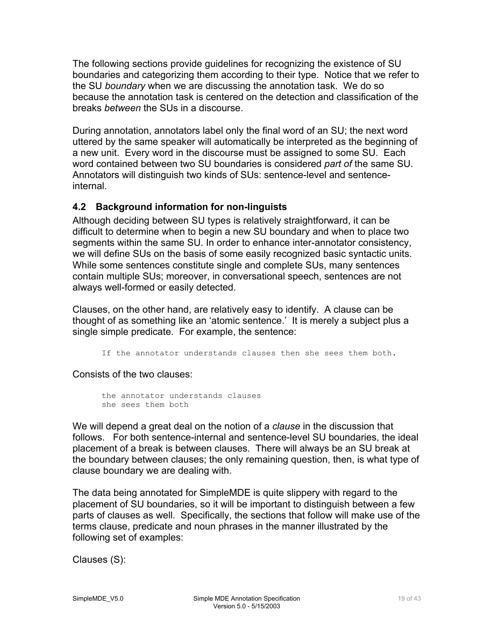<span id="page-18-0"></span>The following sections provide guidelines for recognizing the existence of SU boundaries and categorizing them according to their type. Notice that we refer to the SU *boundary* when we are discussing the annotation task. We do so because the annotation task is centered on the detection and classification of the breaks *between* the SUs in a discourse.

During annotation, annotators label only the final word of an SU; the next word uttered by the same speaker will automatically be interpreted as the beginning of a new unit. Every word in the discourse must be assigned to some SU. Each word contained between two SU boundaries is considered *part of* the same SU. Annotators will distinguish two kinds of SUs: sentence-level and sentenceinternal.

#### **4.2 Background information for non-linguists**

Although deciding between SU types is relatively straightforward, it can be difficult to determine when to begin a new SU boundary and when to place two segments within the same SU. In order to enhance inter-annotator consistency, we will define SUs on the basis of some easily recognized basic syntactic units. While some sentences constitute single and complete SUs, many sentences contain multiple SUs; moreover, in conversational speech, sentences are not always well-formed or easily detected.

Clauses, on the other hand, are relatively easy to identify. A clause can be thought of as something like an 'atomic sentence.' It is merely a subject plus a single simple predicate. For example, the sentence:

If the annotator understands clauses then she sees them both.

Consists of the two clauses:

```
the annotator understands clauses 
she sees them both
```
We will depend a great deal on the notion of a *clause* in the discussion that follows. For both sentence-internal and sentence-level SU boundaries, the ideal placement of a break is between clauses. There will always be an SU break at the boundary between clauses; the only remaining question, then, is what type of clause boundary we are dealing with.

The data being annotated for SimpleMDE is quite slippery with regard to the placement of SU boundaries, so it will be important to distinguish between a few parts of clauses as well. Specifically, the sections that follow will make use of the terms clause, predicate and noun phrases in the manner illustrated by the following set of examples:

Clauses (S):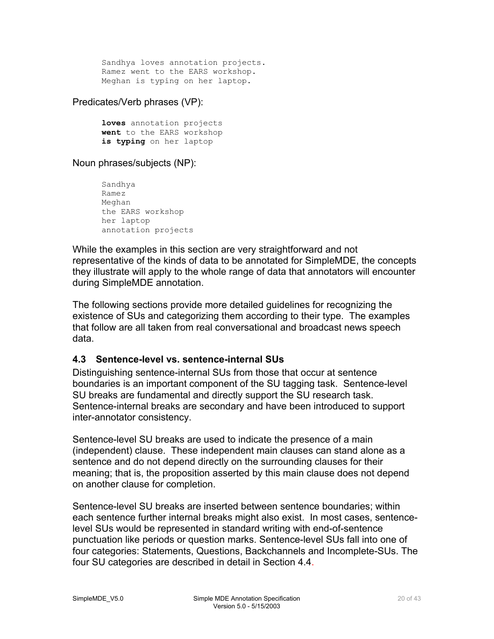<span id="page-19-0"></span>Sandhya loves annotation projects. Ramez went to the EARS workshop. Meghan is typing on her laptop.

Predicates/Verb phrases (VP):

**loves** annotation projects **went** to the EARS workshop **is typing** on her laptop

Noun phrases/subjects (NP):

```
Sandhya 
Ramez 
Meghan 
the EARS workshop 
her laptop 
annotation projects
```
While the examples in this section are very straightforward and not representative of the kinds of data to be annotated for SimpleMDE, the concepts they illustrate will apply to the whole range of data that annotators will encounter during SimpleMDE annotation.

The following sections provide more detailed guidelines for recognizing the existence of SUs and categorizing them according to their type. The examples that follow are all taken from real conversational and broadcast news speech data.

#### **4.3 Sentence-level vs. sentence-internal SUs**

Distinguishing sentence-internal SUs from those that occur at sentence boundaries is an important component of the SU tagging task. Sentence-level SU breaks are fundamental and directly support the SU research task. Sentence-internal breaks are secondary and have been introduced to support inter-annotator consistency.

Sentence-level SU breaks are used to indicate the presence of a main (independent) clause. These independent main clauses can stand alone as a sentence and do not depend directly on the surrounding clauses for their meaning; that is, the proposition asserted by this main clause does not depend on another clause for completion.

Sentence-level SU breaks are inserted between sentence boundaries; within each sentence further internal breaks might also exist. In most cases, sentencelevel SUs would be represented in standard writing with end-of-sentence punctuation like periods or question marks. Sentence-level SUs fall into one of four categories: Statements, Questions, Backchannels and Incomplete-SUs. The four SU categories are described in detail in Section 4.4.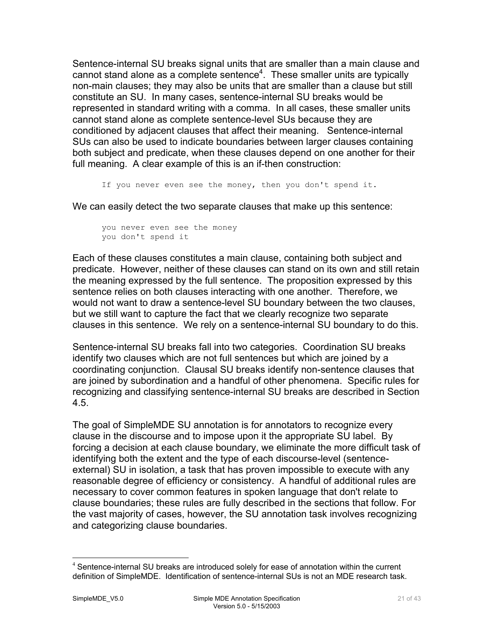Sentence-internal SU breaks signal units that are smaller than a main clause and cannot stand alone as a complete sentence<sup>[4](#page-20-0)</sup>. These smaller units are typically non-main clauses; they may also be units that are smaller than a clause but still constitute an SU. In many cases, sentence-internal SU breaks would be represented in standard writing with a comma. In all cases, these smaller units cannot stand alone as complete sentence-level SUs because they are conditioned by adjacent clauses that affect their meaning. Sentence-internal SUs can also be used to indicate boundaries between larger clauses containing both subject and predicate, when these clauses depend on one another for their full meaning. A clear example of this is an if-then construction:

If you never even see the money, then you don't spend it.

We can easily detect the two separate clauses that make up this sentence:

```
you never even see the money 
you don't spend it
```
Each of these clauses constitutes a main clause, containing both subject and predicate. However, neither of these clauses can stand on its own and still retain the meaning expressed by the full sentence. The proposition expressed by this sentence relies on both clauses interacting with one another. Therefore, we would not want to draw a sentence-level SU boundary between the two clauses, but we still want to capture the fact that we clearly recognize two separate clauses in this sentence. We rely on a sentence-internal SU boundary to do this.

Sentence-internal SU breaks fall into two categories. Coordination SU breaks identify two clauses which are not full sentences but which are joined by a coordinating conjunction. Clausal SU breaks identify non-sentence clauses that are joined by subordination and a handful of other phenomena. Specific rules for recognizing and classifying sentence-internal SU breaks are described in Section 4.5.

The goal of SimpleMDE SU annotation is for annotators to recognize every clause in the discourse and to impose upon it the appropriate SU label. By forcing a decision at each clause boundary, we eliminate the more difficult task of identifying both the extent and the type of each discourse-level (sentenceexternal) SU in isolation, a task that has proven impossible to execute with any reasonable degree of efficiency or consistency. A handful of additional rules are necessary to cover common features in spoken language that don't relate to clause boundaries; these rules are fully described in the sections that follow. For the vast majority of cases, however, the SU annotation task involves recognizing and categorizing clause boundaries.

<span id="page-20-0"></span><sup>&</sup>lt;sup>4</sup> Sentence-internal SU breaks are introduced solely for ease of annotation within the current definition of SimpleMDE. Identification of sentence-internal SUs is not an MDE research task.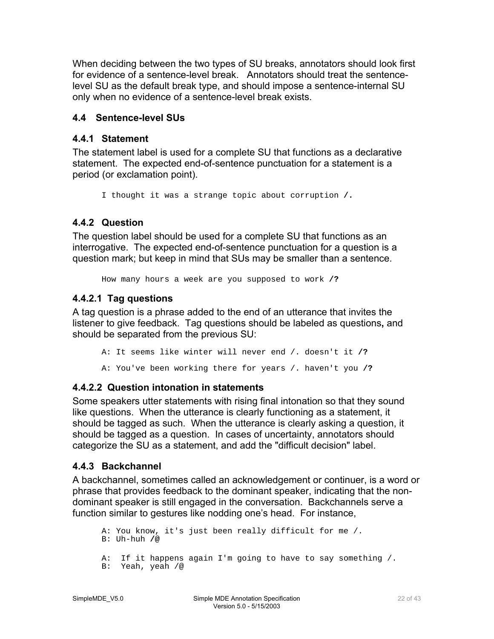<span id="page-21-0"></span>When deciding between the two types of SU breaks, annotators should look first for evidence of a sentence-level break. Annotators should treat the sentencelevel SU as the default break type, and should impose a sentence-internal SU only when no evidence of a sentence-level break exists.

#### **4.4 Sentence-level SUs**

#### **4.4.1 Statement**

The statement label is used for a complete SU that functions as a declarative statement. The expected end-of-sentence punctuation for a statement is a period (or exclamation point).

I thought it was a strange topic about corruption **/.** 

### **4.4.2 Question**

The question label should be used for a complete SU that functions as an interrogative. The expected end-of-sentence punctuation for a question is a question mark; but keep in mind that SUs may be smaller than a sentence.

How many hours a week are you supposed to work **/?**

#### **4.4.2.1 Tag questions**

A tag question is a phrase added to the end of an utterance that invites the listener to give feedback. Tag questions should be labeled as questions**,** and should be separated from the previous SU:

A: It seems like winter will never end /. doesn't it **/?**  A: You've been working there for years /. haven't you **/?**

### **4.4.2.2 Question intonation in statements**

Some speakers utter statements with rising final intonation so that they sound like questions. When the utterance is clearly functioning as a statement, it should be tagged as such. When the utterance is clearly asking a question, it should be tagged as a question. In cases of uncertainty, annotators should categorize the SU as a statement, and add the "difficult decision" label.

#### **4.4.3 Backchannel**

A backchannel, sometimes called an acknowledgement or continuer, is a word or phrase that provides feedback to the dominant speaker, indicating that the nondominant speaker is still engaged in the conversation. Backchannels serve a function similar to gestures like nodding one's head. For instance,

 A: You know, it's just been really difficult for me /. B: Uh-huh **/@**  A: If it happens again I'm going to have to say something /. B: Yeah, yeah /@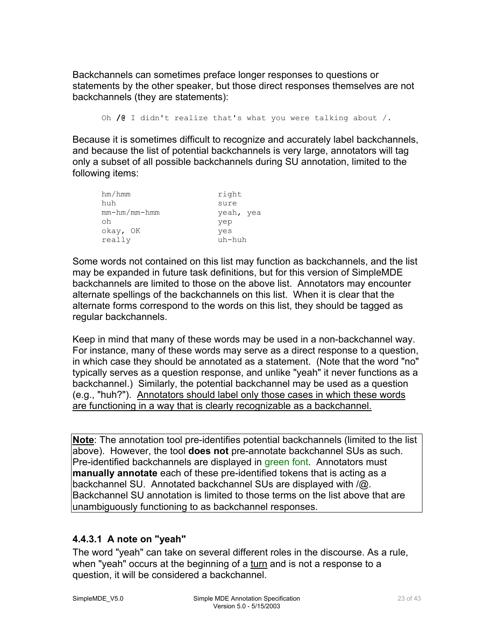<span id="page-22-0"></span>Backchannels can sometimes preface longer responses to questions or statements by the other speaker, but those direct responses themselves are not backchannels (they are statements):

Oh **/@** I didn't realize that's what you were talking about /.

Because it is sometimes difficult to recognize and accurately label backchannels, and because the list of potential backchannels is very large, annotators will tag only a subset of all possible backchannels during SU annotation, limited to the following items:

| hm/hmm             | right     |
|--------------------|-----------|
| huh                | sure      |
| $mm - hm/mm - hmm$ | yeah, yea |
| oh                 | yep       |
| okay, OK           | yes       |
| really             | uh-huh    |

Some words not contained on this list may function as backchannels, and the list may be expanded in future task definitions, but for this version of SimpleMDE backchannels are limited to those on the above list. Annotators may encounter alternate spellings of the backchannels on this list. When it is clear that the alternate forms correspond to the words on this list, they should be tagged as regular backchannels.

Keep in mind that many of these words may be used in a non-backchannel way. For instance, many of these words may serve as a direct response to a question, in which case they should be annotated as a statement. (Note that the word "no" typically serves as a question response, and unlike "yeah" it never functions as a backchannel.) Similarly, the potential backchannel may be used as a question (e.g., "huh?"). Annotators should label only those cases in which these words are functioning in a way that is clearly recognizable as a backchannel.

**Note**: The annotation tool pre-identifies potential backchannels (limited to the list above). However, the tool **does not** pre-annotate backchannel SUs as such. Pre-identified backchannels are displayed in green font. Annotators must **manually annotate** each of these pre-identified tokens that is acting as a backchannel SU. Annotated backchannel SUs are displayed with /@. Backchannel SU annotation is limited to those terms on the list above that are unambiguously functioning to as backchannel responses.

### **4.4.3.1 A note on "yeah"**

The word "yeah" can take on several different roles in the discourse. As a rule, when "yeah" occurs at the beginning of a turn and is not a response to a question, it will be considered a backchannel.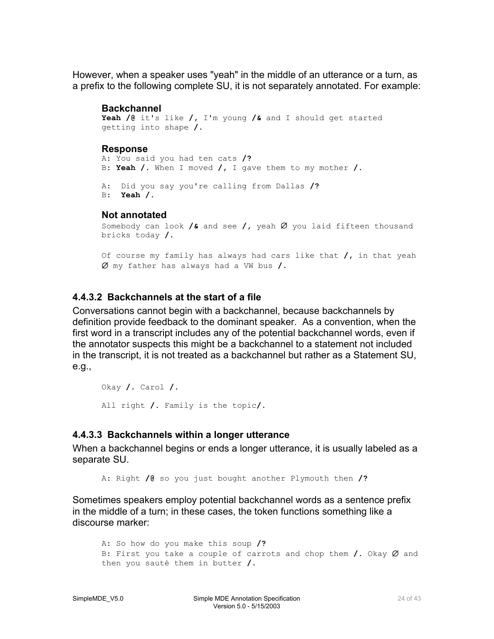<span id="page-23-0"></span>However, when a speaker uses "yeah" in the middle of an utterance or a turn, as a prefix to the following complete SU, it is not separately annotated. For example:

#### **Backchannel**

```
Yeah /@ it's like /, I'm young /& and I should get started 
getting into shape /. 
Response
```

```
A: You said you had ten cats /? 
B: Yeah /. When I moved /, I gave them to my mother /. 
A: Did you say you're calling from Dallas /? 
B: Yeah /.
```
#### **Not annotated**

```
Somebody can look /& and see /, yeah ∅ you laid fifteen thousand 
bricks today /.
```

```
Of course my family has always had cars like that /, in that yeah 
∅ my father has always had a VW bus /.
```
### **4.4.3.2 Backchannels at the start of a file**

Conversations cannot begin with a backchannel, because backchannels by definition provide feedback to the dominant speaker. As a convention, when the first word in a transcript includes any of the potential backchannel words, even if the annotator suspects this might be a backchannel to a statement not included in the transcript, it is not treated as a backchannel but rather as a Statement SU, e.g.,

```
Okay /. Carol /. 
All right /. Family is the topic/.
```
### **4.4.3.3 Backchannels within a longer utterance**

When a backchannel begins or ends a longer utterance, it is usually labeled as a separate SU.

A: Right **/@** so you just bought another Plymouth then **/?** 

Sometimes speakers employ potential backchannel words as a sentence prefix in the middle of a turn; in these cases, the token functions something like a discourse marker:

```
A: So how do you make this soup /? 
B: First you take a couple of carrots and chop them /. Okay Ø and
then you sauté them in butter /.
```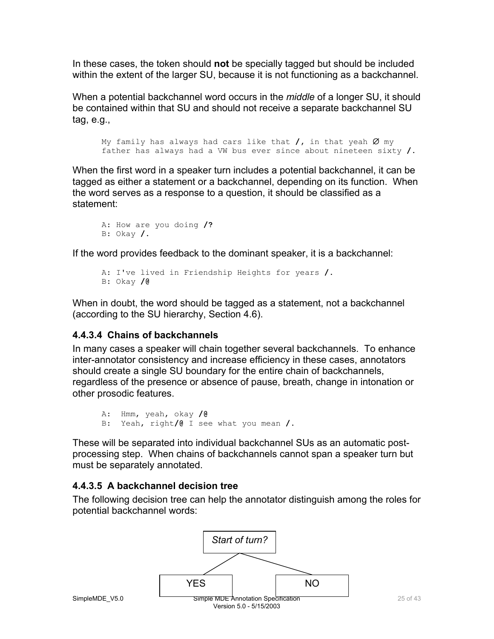<span id="page-24-0"></span>In these cases, the token should **not** be specially tagged but should be included within the extent of the larger SU, because it is not functioning as a backchannel.

When a potential backchannel word occurs in the *middle* of a longer SU, it should be contained within that SU and should not receive a separate backchannel SU tag, e.g.,

```
My family has always had cars like that /, in that yeah ∅ my
father has always had a VW bus ever since about nineteen sixty /.
```
When the first word in a speaker turn includes a potential backchannel, it can be tagged as either a statement or a backchannel, depending on its function. When the word serves as a response to a question, it should be classified as a statement:

```
A: How are you doing /? 
B: Okay /.
```
If the word provides feedback to the dominant speaker, it is a backchannel:

```
A: I've lived in Friendship Heights for years /. 
B: Okay /@
```
When in doubt, the word should be tagged as a statement, not a backchannel (according to the SU hierarchy, Section 4.6).

#### **4.4.3.4 Chains of backchannels**

In many cases a speaker will chain together several backchannels. To enhance inter-annotator consistency and increase efficiency in these cases, annotators should create a single SU boundary for the entire chain of backchannels, regardless of the presence or absence of pause, breath, change in intonation or other prosodic features.

```
A: Hmm, yeah, okay /@ 
B: Yeah, right/@ I see what you mean /.
```
These will be separated into individual backchannel SUs as an automatic postprocessing step. When chains of backchannels cannot span a speaker turn but must be separately annotated.

#### **4.4.3.5 A backchannel decision tree**

The following decision tree can help the annotator distinguish among the roles for potential backchannel words:

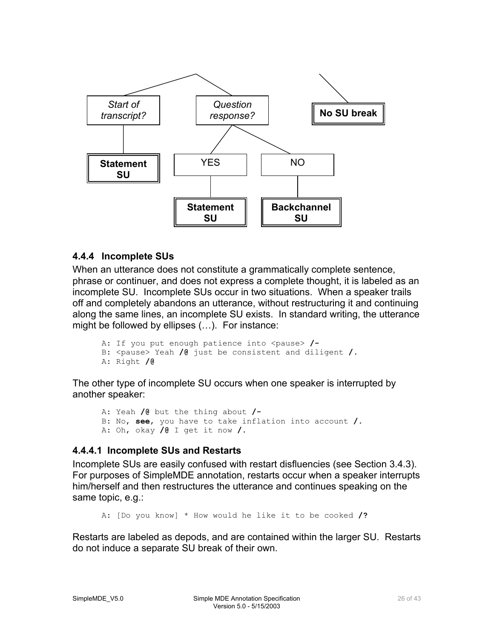<span id="page-25-0"></span>

#### **4.4.4 Incomplete SUs**

When an utterance does not constitute a grammatically complete sentence, phrase or continuer, and does not express a complete thought, it is labeled as an incomplete SU. Incomplete SUs occur in two situations. When a speaker trails off and completely abandons an utterance, without restructuring it and continuing along the same lines, an incomplete SU exists. In standard writing, the utterance might be followed by ellipses (…). For instance:

```
A: If you put enough patience into <pause> /-
B: <pause> Yeah /@ just be consistent and diligent /.
A: Right /@
```
The other type of incomplete SU occurs when one speaker is interrupted by another speaker:

A: Yeah **/@** but the thing about **/-** B: No, **see**, you have to take inflation into account **/.** A: Oh, okay **/@** I get it now **/.** 

#### **4.4.4.1 Incomplete SUs and Restarts**

Incomplete SUs are easily confused with restart disfluencies (see Section 3.4.3). For purposes of SimpleMDE annotation, restarts occur when a speaker interrupts him/herself and then restructures the utterance and continues speaking on the same topic, e.g.:

A: [Do you know] \* How would he like it to be cooked **/?**

Restarts are labeled as depods, and are contained within the larger SU. Restarts do not induce a separate SU break of their own.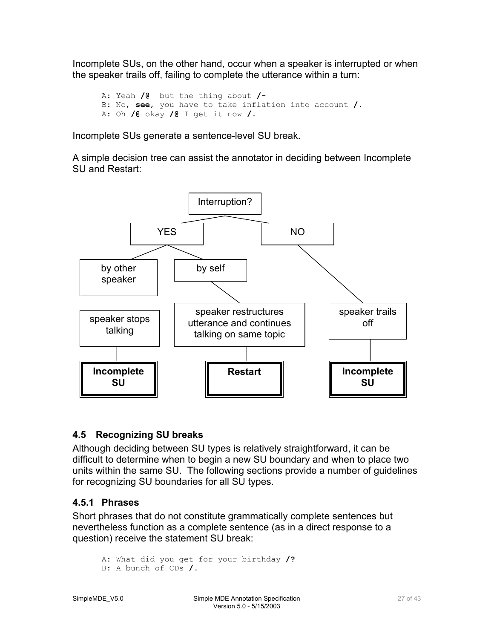<span id="page-26-0"></span>Incomplete SUs, on the other hand, occur when a speaker is interrupted or when the speaker trails off, failing to complete the utterance within a turn:

 A: Yeah **/@** but the thing about **/-** B: No, **see**, you have to take inflation into account **/.** A: Oh **/@** okay **/@** I get it now **/.**

Incomplete SUs generate a sentence-level SU break.

A simple decision tree can assist the annotator in deciding between Incomplete SU and Restart:



### **4.5 Recognizing SU breaks**

Although deciding between SU types is relatively straightforward, it can be difficult to determine when to begin a new SU boundary and when to place two units within the same SU. The following sections provide a number of guidelines for recognizing SU boundaries for all SU types.

### **4.5.1 Phrases**

Short phrases that do not constitute grammatically complete sentences but nevertheless function as a complete sentence (as in a direct response to a question) receive the statement SU break:

```
A: What did you get for your birthday /?
B: A bunch of CDs /.
```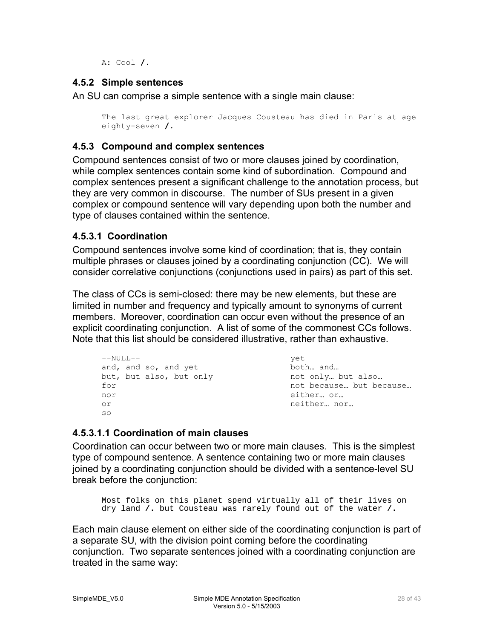A: Cool **/.**

#### <span id="page-27-0"></span>**4.5.2 Simple sentences**

An SU can comprise a simple sentence with a single main clause:

```
The last great explorer Jacques Cousteau has died in Paris at age 
eighty-seven /.
```
#### **4.5.3 Compound and complex sentences**

Compound sentences consist of two or more clauses joined by coordination, while complex sentences contain some kind of subordination. Compound and complex sentences present a significant challenge to the annotation process, but they are very common in discourse. The number of SUs present in a given complex or compound sentence will vary depending upon both the number and type of clauses contained within the sentence.

#### **4.5.3.1 Coordination**

Compound sentences involve some kind of coordination; that is, they contain multiple phrases or clauses joined by a coordinating conjunction (CC). We will consider correlative conjunctions (conjunctions used in pairs) as part of this set.

The class of CCs is semi-closed: there may be new elements, but these are limited in number and frequency and typically amount to synonyms of current members. Moreover, coordination can occur even without the presence of an explicit coordinating conjunction. A list of some of the commonest CCs follows. Note that this list should be considered illustrative, rather than exhaustive.

```
--NULL--and, and so, and yet 
but, but also, but only 
for 
nor 
or 
so 
                                          yet 
                                         both… and… 
                                         not only… but also… 
                                         not because… but because… 
                                         either… or… 
                                         neither… nor…
```
### **4.5.3.1.1 Coordination of main clauses**

Coordination can occur between two or more main clauses. This is the simplest type of compound sentence. A sentence containing two or more main clauses joined by a coordinating conjunction should be divided with a sentence-level SU break before the conjunction:

```
Most folks on this planet spend virtually all of their lives on 
 dry land /. but Cousteau was rarely found out of the water /.
```
Each main clause element on either side of the coordinating conjunction is part of a separate SU, with the division point coming before the coordinating conjunction. Two separate sentences joined with a coordinating conjunction are treated in the same way: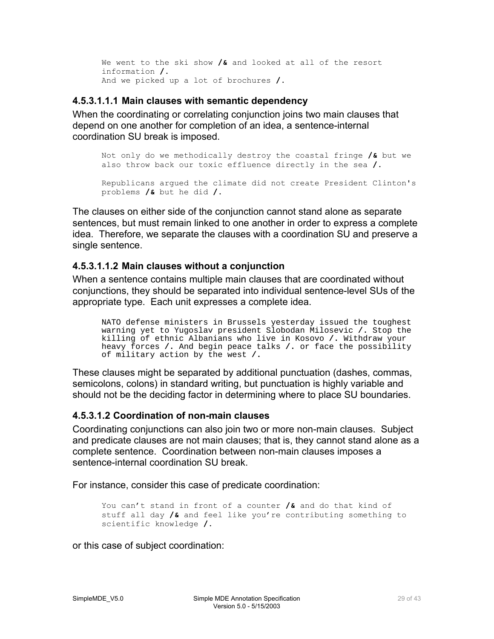<span id="page-28-0"></span>We went to the ski show **/&** and looked at all of the resort information **/.** And we picked up a lot of brochures **/.**

#### **4.5.3.1.1.1 Main clauses with semantic dependency**

When the coordinating or correlating conjunction joins two main clauses that depend on one another for completion of an idea, a sentence-internal coordination SU break is imposed.

Not only do we methodically destroy the coastal fringe **/&** but we also throw back our toxic effluence directly in the sea **/.** Republicans argued the climate did not create President Clinton's problems **/&** but he did **/.**

The clauses on either side of the conjunction cannot stand alone as separate sentences, but must remain linked to one another in order to express a complete idea. Therefore, we separate the clauses with a coordination SU and preserve a single sentence.

#### **4.5.3.1.1.2 Main clauses without a conjunction**

When a sentence contains multiple main clauses that are coordinated without conjunctions, they should be separated into individual sentence-level SUs of the appropriate type. Each unit expresses a complete idea.

NATO defense ministers in Brussels yesterday issued the toughest warning yet to Yugoslav president Slobodan Milosevic **/.** Stop the killing of ethnic Albanians who live in Kosovo **/.** Withdraw your heavy forces **/.** And begin peace talks **/.** or face the possibility of military action by the west **/.** 

These clauses might be separated by additional punctuation (dashes, commas, semicolons, colons) in standard writing, but punctuation is highly variable and should not be the deciding factor in determining where to place SU boundaries.

#### **4.5.3.1.2 Coordination of non-main clauses**

Coordinating conjunctions can also join two or more non-main clauses. Subject and predicate clauses are not main clauses; that is, they cannot stand alone as a complete sentence. Coordination between non-main clauses imposes a sentence-internal coordination SU break.

For instance, consider this case of predicate coordination:

You can't stand in front of a counter **/&** and do that kind of stuff all day **/&** and feel like you're contributing something to scientific knowledge **/.**

or this case of subject coordination: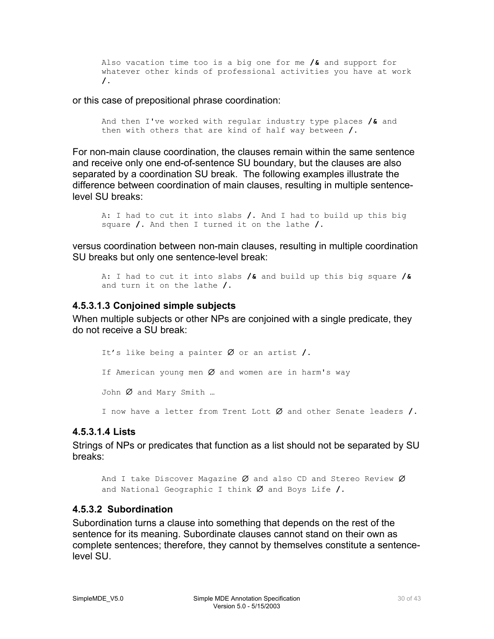<span id="page-29-0"></span>Also vacation time too is a big one for me **/&** and support for whatever other kinds of professional activities you have at work **/.**

or this case of prepositional phrase coordination:

And then I've worked with regular industry type places **/&** and then with others that are kind of half way between **/.**

For non-main clause coordination, the clauses remain within the same sentence and receive only one end-of-sentence SU boundary, but the clauses are also separated by a coordination SU break. The following examples illustrate the difference between coordination of main clauses, resulting in multiple sentencelevel SU breaks:

```
A: I had to cut it into slabs /. And I had to build up this big 
square /. And then I turned it on the lathe /.
```
versus coordination between non-main clauses, resulting in multiple coordination SU breaks but only one sentence-level break:

```
A: I had to cut it into slabs /& and build up this big square /&
and turn it on the lathe /.
```
#### **4.5.3.1.3 Conjoined simple subjects**

When multiple subjects or other NPs are conjoined with a single predicate, they do not receive a SU break:

It's like being a painter ∅ or an artist **/.** If American young men  $Ø$  and women are in harm's way John Ø and Mary Smith ... I now have a letter from Trent Lott ∅ and other Senate leaders **/.**

#### **4.5.3.1.4 Lists**

Strings of NPs or predicates that function as a list should not be separated by SU breaks:

```
And I take Discover Magazine Ø and also CD and Stereo Review Øand National Geographic I think ∅ and Boys Life /.
```
#### **4.5.3.2 Subordination**

Subordination turns a clause into something that depends on the rest of the sentence for its meaning. Subordinate clauses cannot stand on their own as complete sentences; therefore, they cannot by themselves constitute a sentencelevel SU.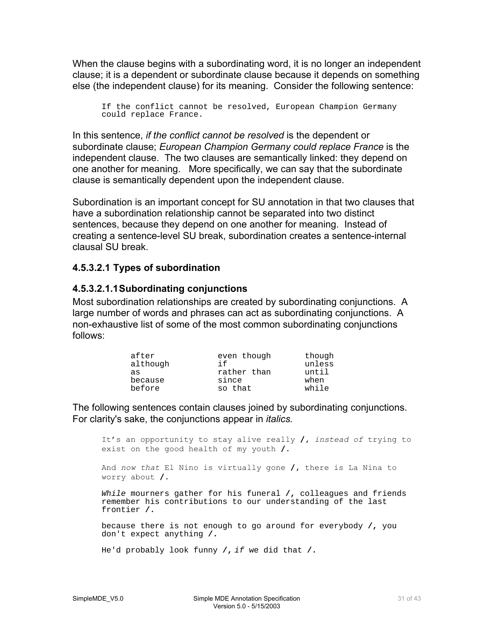<span id="page-30-0"></span>When the clause begins with a subordinating word, it is no longer an independent clause; it is a dependent or subordinate clause because it depends on something else (the independent clause) for its meaning. Consider the following sentence:

If the conflict cannot be resolved, European Champion Germany could replace France.

In this sentence, *if the conflict cannot be resolved* is the dependent or subordinate clause; *European Champion Germany could replace France* is the independent clause. The two clauses are semantically linked: they depend on one another for meaning. More specifically, we can say that the subordinate clause is semantically dependent upon the independent clause.

Subordination is an important concept for SU annotation in that two clauses that have a subordination relationship cannot be separated into two distinct sentences, because they depend on one another for meaning. Instead of creating a sentence-level SU break, subordination creates a sentence-internal clausal SU break.

#### **4.5.3.2.1 Types of subordination**

#### **4.5.3.2.1.1 Subordinating conjunctions**

Most subordination relationships are created by subordinating conjunctions. A large number of words and phrases can act as subordinating conjunctions. A non-exhaustive list of some of the most common subordinating conjunctions follows:

| after<br>although | even though<br>i f | though<br>unless |
|-------------------|--------------------|------------------|
| as                | rather than        | until            |
| because           | since              | when             |
| before            | so that            | while            |

The following sentences contain clauses joined by subordinating conjunctions. For clarity's sake, the conjunctions appear in *italics.* 

It's an opportunity to stay alive really **/,** *instead of* trying to exist on the good health of my youth **/.**

And *now that* El Nino is virtually gone **/,** there is La Nina to worry about **/.**

While mourners gather for his funeral **/,** colleagues and friends remember his contributions to our understanding of the last frontier **/.**

because there is not enough to go around for everybody **/,** you don't expect anything **/.**

He'd probably look funny **/,** if we did that **/.**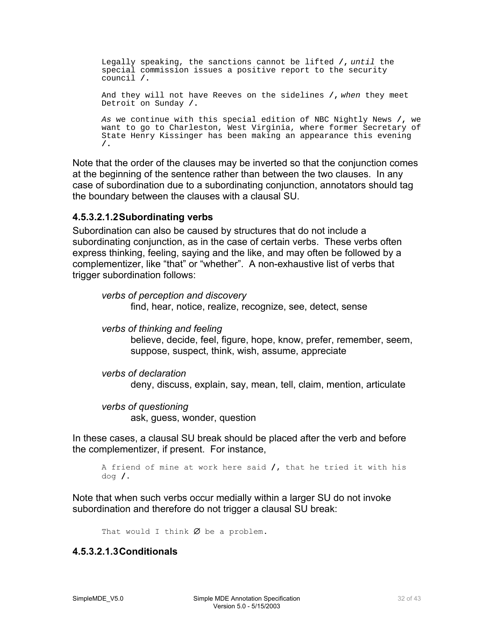<span id="page-31-0"></span>Legally speaking, the sanctions cannot be lifted **/,** until the special commission issues a positive report to the security council **/.** And they will not have Reeves on the sidelines **/,** when they meet Detroit on Sunday **/.** As we continue with this special edition of NBC Nightly News **/,** we want to go to Charleston, West Virginia, where former Secretary of State Henry Kissinger has been making an appearance this evening **/.**

Note that the order of the clauses may be inverted so that the conjunction comes at the beginning of the sentence rather than between the two clauses. In any case of subordination due to a subordinating conjunction, annotators should tag the boundary between the clauses with a clausal SU.

#### **4.5.3.2.1.2 Subordinating verbs**

Subordination can also be caused by structures that do not include a subordinating conjunction, as in the case of certain verbs. These verbs often express thinking, feeling, saying and the like, and may often be followed by a complementizer, like "that" or "whether". A non-exhaustive list of verbs that trigger subordination follows:

*verbs of perception and discovery*  find, hear, notice, realize, recognize, see, detect, sense

*verbs of thinking and feeling* 

believe, decide, feel, figure, hope, know, prefer, remember, seem, suppose, suspect, think, wish, assume, appreciate

```
verbs of declaration 
       deny, discuss, explain, say, mean, tell, claim, mention, articulate
```

```
verbs of questioning 
      ask, guess, wonder, question
```
In these cases, a clausal SU break should be placed after the verb and before the complementizer, if present. For instance,

```
A friend of mine at work here said /, that he tried it with his 
dog /.
```
Note that when such verbs occur medially within a larger SU do not invoke subordination and therefore do not trigger a clausal SU break:

That would I think  $\emptyset$  be a problem.

#### **4.5.3.2.1.3 Conditionals**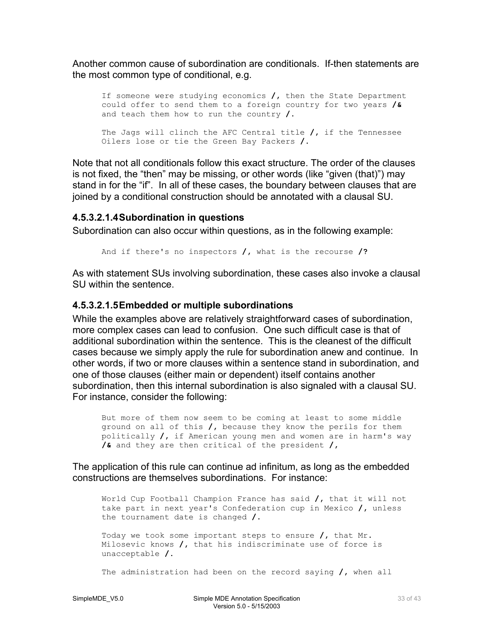<span id="page-32-0"></span>Another common cause of subordination are conditionals. If-then statements are the most common type of conditional, e.g.

```
If someone were studying economics /, then the State Department 
could offer to send them to a foreign country for two years /&
and teach them how to run the country /.
The Jags will clinch the AFC Central title /, if the Tennessee 
Oilers lose or tie the Green Bay Packers /.
```
Note that not all conditionals follow this exact structure. The order of the clauses is not fixed, the "then" may be missing, or other words (like "given (that)") may stand in for the "if". In all of these cases, the boundary between clauses that are joined by a conditional construction should be annotated with a clausal SU.

#### **4.5.3.2.1.4 Subordination in questions**

Subordination can also occur within questions, as in the following example:

And if there's no inspectors **/,** what is the recourse **/?**

As with statement SUs involving subordination, these cases also invoke a clausal SU within the sentence.

#### **4.5.3.2.1.5Embedded or multiple subordinations**

While the examples above are relatively straightforward cases of subordination, more complex cases can lead to confusion. One such difficult case is that of additional subordination within the sentence. This is the cleanest of the difficult cases because we simply apply the rule for subordination anew and continue. In other words, if two or more clauses within a sentence stand in subordination, and one of those clauses (either main or dependent) itself contains another subordination, then this internal subordination is also signaled with a clausal SU. For instance, consider the following:

But more of them now seem to be coming at least to some middle ground on all of this **/,** because they know the perils for them politically **/,** if American young men and women are in harm's way **/&** and they are then critical of the president **/,**

The application of this rule can continue ad infinitum, as long as the embedded constructions are themselves subordinations. For instance:

World Cup Football Champion France has said **/,** that it will not take part in next year's Confederation cup in Mexico **/,** unless the tournament date is changed **/.** 

Today we took some important steps to ensure **/,** that Mr. Milosevic knows **/,** that his indiscriminate use of force is unacceptable **/.**

The administration had been on the record saying **/,** when all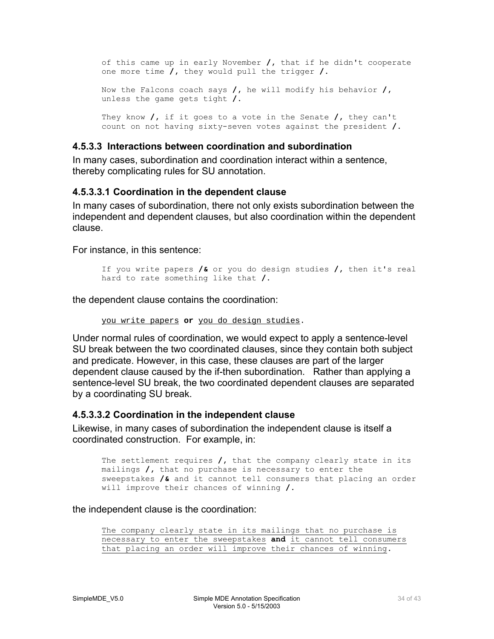<span id="page-33-0"></span>of this came up in early November **/,** that if he didn't cooperate one more time **/,** they would pull the trigger **/.** Now the Falcons coach says **/,** he will modify his behavior **/,** unless the game gets tight **/.** They know **/,** if it goes to a vote in the Senate **/,** they can't count on not having sixty-seven votes against the president **/.**

#### **4.5.3.3 Interactions between coordination and subordination**

In many cases, subordination and coordination interact within a sentence, thereby complicating rules for SU annotation.

#### **4.5.3.3.1 Coordination in the dependent clause**

In many cases of subordination, there not only exists subordination between the independent and dependent clauses, but also coordination within the dependent clause.

For instance, in this sentence:

```
If you write papers /& or you do design studies /, then it's real 
hard to rate something like that /.
```
the dependent clause contains the coordination:

```
you write papers or you do design studies.
```
Under normal rules of coordination, we would expect to apply a sentence-level SU break between the two coordinated clauses, since they contain both subject and predicate. However, in this case, these clauses are part of the larger dependent clause caused by the if-then subordination. Rather than applying a sentence-level SU break, the two coordinated dependent clauses are separated by a coordinating SU break.

#### **4.5.3.3.2 Coordination in the independent clause**

Likewise, in many cases of subordination the independent clause is itself a coordinated construction. For example, in:

The settlement requires **/,** that the company clearly state in its mailings **/,** that no purchase is necessary to enter the sweepstakes **/&** and it cannot tell consumers that placing an order will improve their chances of winning **/.** 

the independent clause is the coordination:

The company clearly state in its mailings that no purchase is necessary to enter the sweepstakes **and** it cannot tell consumers that placing an order will improve their chances of winning.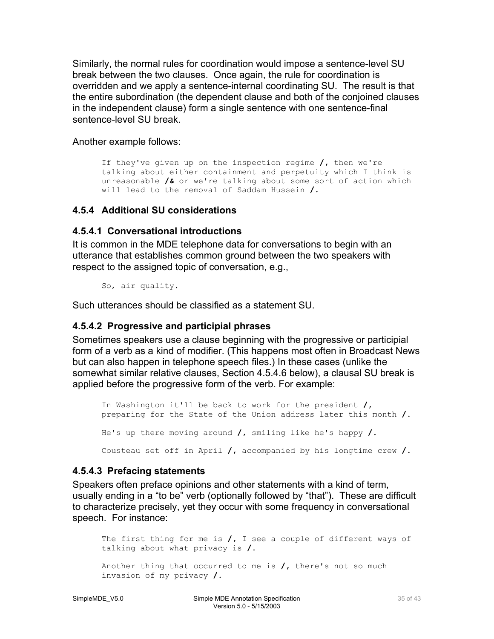<span id="page-34-0"></span>Similarly, the normal rules for coordination would impose a sentence-level SU break between the two clauses. Once again, the rule for coordination is overridden and we apply a sentence-internal coordinating SU. The result is that the entire subordination (the dependent clause and both of the conjoined clauses in the independent clause) form a single sentence with one sentence-final sentence-level SU break.

Another example follows:

```
If they've given up on the inspection regime /, then we're 
talking about either containment and perpetuity which I think is 
unreasonable /& or we're talking about some sort of action which 
will lead to the removal of Saddam Hussein /.
```
#### **4.5.4 Additional SU considerations**

#### **4.5.4.1 Conversational introductions**

It is common in the MDE telephone data for conversations to begin with an utterance that establishes common ground between the two speakers with respect to the assigned topic of conversation, e.g.,

So, air quality.

Such utterances should be classified as a statement SU.

#### **4.5.4.2 Progressive and participial phrases**

Sometimes speakers use a clause beginning with the progressive or participial form of a verb as a kind of modifier. (This happens most often in Broadcast News but can also happen in telephone speech files.) In these cases (unlike the somewhat similar relative clauses, Section 4.5.4.6 below), a clausal SU break is applied before the progressive form of the verb. For example:

In Washington it'll be back to work for the president **/,** preparing for the State of the Union address later this month **/.** He's up there moving around **/,** smiling like he's happy **/.**  Cousteau set off in April **/,** accompanied by his longtime crew **/.**

#### **4.5.4.3 Prefacing statements**

Speakers often preface opinions and other statements with a kind of term, usually ending in a "to be" verb (optionally followed by "that"). These are difficult to characterize precisely, yet they occur with some frequency in conversational speech. For instance:

```
The first thing for me is /, I see a couple of different ways of 
talking about what privacy is /.
Another thing that occurred to me is /, there's not so much 
invasion of my privacy /.
```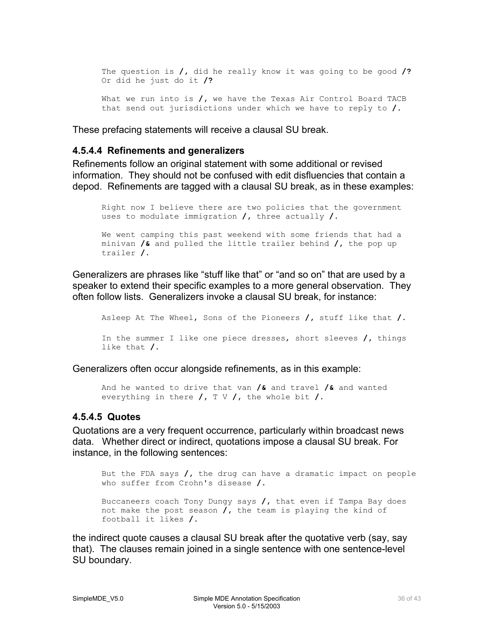<span id="page-35-0"></span>The question is **/,** did he really know it was going to be good **/?** Or did he just do it **/?** What we run into is **/,** we have the Texas Air Control Board TACB that send out jurisdictions under which we have to reply to **/.**

These prefacing statements will receive a clausal SU break.

#### **4.5.4.4 Refinements and generalizers**

Refinements follow an original statement with some additional or revised information. They should not be confused with edit disfluencies that contain a depod. Refinements are tagged with a clausal SU break, as in these examples:

Right now I believe there are two policies that the government uses to modulate immigration **/,** three actually **/.** We went camping this past weekend with some friends that had a minivan **/&** and pulled the little trailer behind **/,** the pop up trailer **/.**

Generalizers are phrases like "stuff like that" or "and so on" that are used by a speaker to extend their specific examples to a more general observation. They often follow lists. Generalizers invoke a clausal SU break, for instance:

Asleep At The Wheel, Sons of the Pioneers **/,** stuff like that **/.** In the summer I like one piece dresses, short sleeves **/,** things like that **/.**

Generalizers often occur alongside refinements, as in this example:

And he wanted to drive that van **/&** and travel **/&** and wanted everything in there **/,** T V **/,** the whole bit **/.** 

#### **4.5.4.5 Quotes**

Quotations are a very frequent occurrence, particularly within broadcast news data. Whether direct or indirect, quotations impose a clausal SU break. For instance, in the following sentences:

But the FDA says **/,** the drug can have a dramatic impact on people who suffer from Crohn's disease **/.**

Buccaneers coach Tony Dungy says **/,** that even if Tampa Bay does not make the post season **/,** the team is playing the kind of football it likes **/.**

the indirect quote causes a clausal SU break after the quotative verb (say, say that). The clauses remain joined in a single sentence with one sentence-level SU boundary.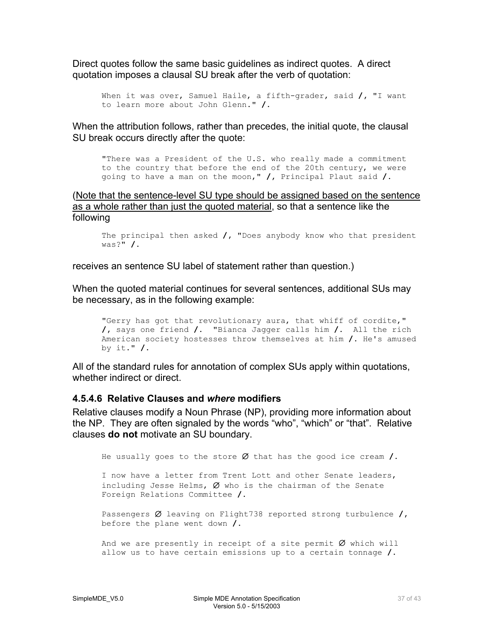<span id="page-36-0"></span>Direct quotes follow the same basic guidelines as indirect quotes. A direct quotation imposes a clausal SU break after the verb of quotation:

```
When it was over, Samuel Haile, a fifth-grader, said /, "I want 
to learn more about John Glenn." /.
```
When the attribution follows, rather than precedes, the initial quote, the clausal SU break occurs directly after the quote:

"There was a President of the U.S. who really made a commitment to the country that before the end of the 20th century, we were going to have a man on the moon," **/,** Principal Plaut said **/.** 

(Note that the sentence-level SU type should be assigned based on the sentence as a whole rather than just the quoted material, so that a sentence like the following

The principal then asked **/,** "Does anybody know who that president was?" **/.**

receives an sentence SU label of statement rather than question.)

When the quoted material continues for several sentences, additional SUs may be necessary, as in the following example:

```
"Gerry has got that revolutionary aura, that whiff of cordite," 
/, says one friend /. "Bianca Jagger calls him /. All the rich 
American society hostesses throw themselves at him /. He's amused 
by it." /.
```
All of the standard rules for annotation of complex SUs apply within quotations, whether indirect or direct.

#### **4.5.4.6 Relative Clauses and** *where* **modifiers**

Relative clauses modify a Noun Phrase (NP), providing more information about the NP. They are often signaled by the words "who", "which" or "that". Relative clauses **do not** motivate an SU boundary.

He usually goes to the store ∅ that has the good ice cream **/.**

I now have a letter from Trent Lott and other Senate leaders, including Jesse Helms,  $Ø$  who is the chairman of the Senate Foreign Relations Committee **/.**

Passengers ∅ leaving on Flight738 reported strong turbulence **/,** before the plane went down **/.**

And we are presently in receipt of a site permit  $Ø$  which will allow us to have certain emissions up to a certain tonnage **/.**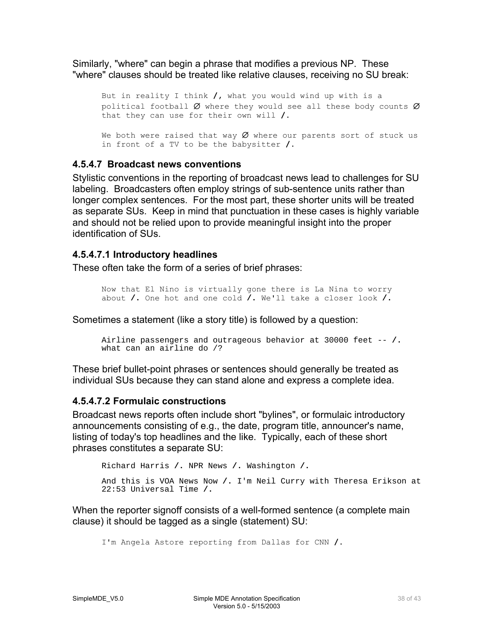<span id="page-37-0"></span>Similarly, "where" can begin a phrase that modifies a previous NP. These "where" clauses should be treated like relative clauses, receiving no SU break:

But in reality I think **/,** what you would wind up with is a political football  $Ø$  where they would see all these body counts  $Ø$ that they can use for their own will **/.** 

We both were raised that way  $Ø$  where our parents sort of stuck us in front of a TV to be the babysitter **/.**

#### **4.5.4.7 Broadcast news conventions**

Stylistic conventions in the reporting of broadcast news lead to challenges for SU labeling. Broadcasters often employ strings of sub-sentence units rather than longer complex sentences. For the most part, these shorter units will be treated as separate SUs. Keep in mind that punctuation in these cases is highly variable and should not be relied upon to provide meaningful insight into the proper identification of SUs.

#### **4.5.4.7.1 Introductory headlines**

These often take the form of a series of brief phrases:

Now that El Nino is virtually gone there is La Nina to worry about **/.** One hot and one cold **/.** We'll take a closer look **/.**

Sometimes a statement (like a story title) is followed by a question:

```
Airline passengers and outrageous behavior at 30000 feet -- /.
what can an airline do /?
```
These brief bullet-point phrases or sentences should generally be treated as individual SUs because they can stand alone and express a complete idea.

#### **4.5.4.7.2 Formulaic constructions**

Broadcast news reports often include short "bylines", or formulaic introductory announcements consisting of e.g., the date, program title, announcer's name, listing of today's top headlines and the like. Typically, each of these short phrases constitutes a separate SU:

```
Richard Harris /. NPR News /. Washington /.
And this is VOA News Now /. I'm Neil Curry with Theresa Erikson at 
22:53 Universal Time /.
```
When the reporter signoff consists of a well-formed sentence (a complete main clause) it should be tagged as a single (statement) SU:

```
I'm Angela Astore reporting from Dallas for CNN /.
```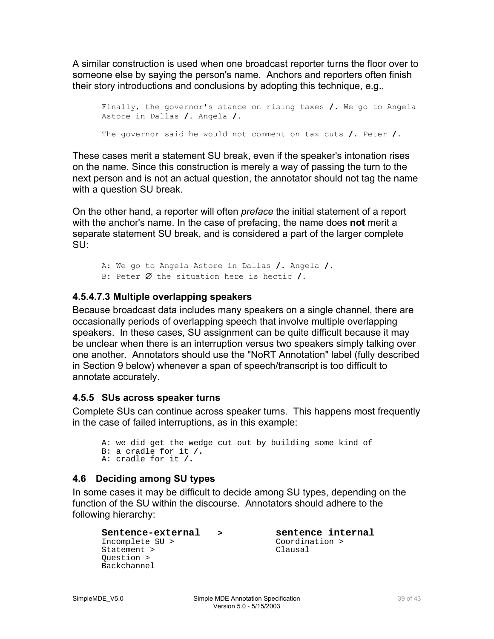<span id="page-38-0"></span>A similar construction is used when one broadcast reporter turns the floor over to someone else by saying the person's name. Anchors and reporters often finish their story introductions and conclusions by adopting this technique, e.g.,

```
Finally, the governor's stance on rising taxes /. We go to Angela 
Astore in Dallas /. Angela /. 
The governor said he would not comment on tax cuts /. Peter /.
```
These cases merit a statement SU break, even if the speaker's intonation rises on the name. Since this construction is merely a way of passing the turn to the next person and is not an actual question, the annotator should not tag the name with a question SU break.

On the other hand, a reporter will often *preface* the initial statement of a report with the anchor's name. In the case of prefacing, the name does **not** merit a separate statement SU break, and is considered a part of the larger complete SU:

A: We go to Angela Astore in Dallas **/.** Angela **/.** B: Peter ∅ the situation here is hectic **/.**

### **4.5.4.7.3 Multiple overlapping speakers**

Because broadcast data includes many speakers on a single channel, there are occasionally periods of overlapping speech that involve multiple overlapping speakers. In these cases, SU assignment can be quite difficult because it may be unclear when there is an interruption versus two speakers simply talking over one another. Annotators should use the "NoRT Annotation" label (fully described in Section 9 below) whenever a span of speech/transcript is too difficult to annotate accurately.

### **4.5.5 SUs across speaker turns**

Complete SUs can continue across speaker turns. This happens most frequently in the case of failed interruptions, as in this example:

```
A: we did get the wedge cut out by building some kind of 
B: a cradle for it /. 
A: cradle for it /.
```
### **4.6 Deciding among SU types**

In some cases it may be difficult to decide among SU types, depending on the function of the SU within the discourse. Annotators should adhere to the following hierarchy:

```
Sentence-external > sentence internal<br>Incomplete SU > Coordination >
Incomplete SU > Coordination Coordination Coordination Clausal
Statement >
Question > 
Backchannel
```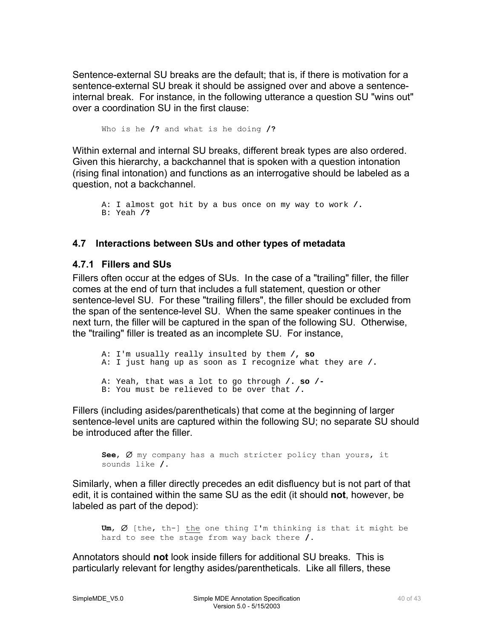<span id="page-39-0"></span>Sentence-external SU breaks are the default; that is, if there is motivation for a sentence-external SU break it should be assigned over and above a sentenceinternal break. For instance, in the following utterance a question SU "wins out" over a coordination SU in the first clause:

Who is he **/?** and what is he doing **/?**

Within external and internal SU breaks, different break types are also ordered. Given this hierarchy, a backchannel that is spoken with a question intonation (rising final intonation) and functions as an interrogative should be labeled as a question, not a backchannel.

```
A: I almost got hit by a bus once on my way to work /.
B: Yeah /?
```
#### **4.7 Interactions between SUs and other types of metadata**

#### **4.7.1 Fillers and SUs**

Fillers often occur at the edges of SUs. In the case of a "trailing" filler, the filler comes at the end of turn that includes a full statement, question or other sentence-level SU. For these "trailing fillers", the filler should be excluded from the span of the sentence-level SU. When the same speaker continues in the next turn, the filler will be captured in the span of the following SU. Otherwise, the "trailing" filler is treated as an incomplete SU. For instance,

A: I'm usually really insulted by them **/, so** A: I just hang up as soon as I recognize what they are **/.**  A: Yeah, that was a lot to go through **/. so /-** B: You must be relieved to be over that **/.**

Fillers (including asides/parentheticals) that come at the beginning of larger sentence-level units are captured within the following SU; no separate SU should be introduced after the filler.

**See**, ∅ my company has a much stricter policy than yours, it sounds like **/.** 

Similarly, when a filler directly precedes an edit disfluency but is not part of that edit, it is contained within the same SU as the edit (it should **not**, however, be labeled as part of the depod):

**Um**, ∅ [the, th-] the one thing I'm thinking is that it might be hard to see the stage from way back there **/.**

Annotators should **not** look inside fillers for additional SU breaks. This is particularly relevant for lengthy asides/parentheticals. Like all fillers, these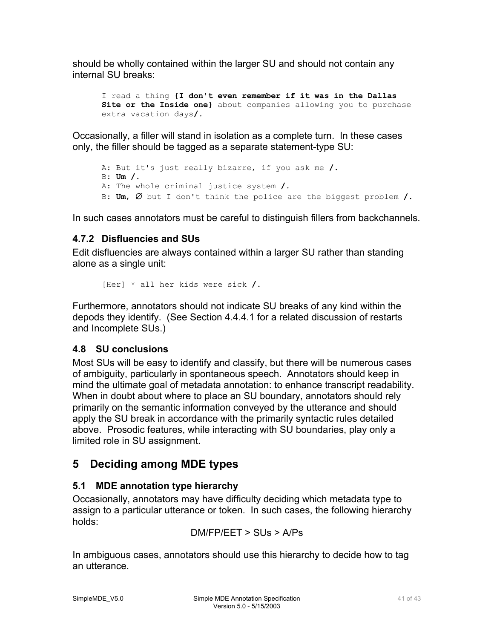<span id="page-40-0"></span>should be wholly contained within the larger SU and should not contain any internal SU breaks:

I read a thing **{I don't even remember if it was in the Dallas Site or the Inside one}** about companies allowing you to purchase extra vacation days**/.**

Occasionally, a filler will stand in isolation as a complete turn. In these cases only, the filler should be tagged as a separate statement-type SU:

```
A: But it's just really bizarre, if you ask me /.
B: Um /.
A: The whole criminal justice system /.
B: Um, ∅ but I don't think the police are the biggest problem /.
```
In such cases annotators must be careful to distinguish fillers from backchannels.

### **4.7.2 Disfluencies and SUs**

Edit disfluencies are always contained within a larger SU rather than standing alone as a single unit:

[Her] \* all her kids were sick **/.**

Furthermore, annotators should not indicate SU breaks of any kind within the depods they identify. (See Section 4.4.4.1 for a related discussion of restarts and Incomplete SUs.)

### **4.8 SU conclusions**

Most SUs will be easy to identify and classify, but there will be numerous cases of ambiguity, particularly in spontaneous speech. Annotators should keep in mind the ultimate goal of metadata annotation: to enhance transcript readability. When in doubt about where to place an SU boundary, annotators should rely primarily on the semantic information conveyed by the utterance and should apply the SU break in accordance with the primarily syntactic rules detailed above. Prosodic features, while interacting with SU boundaries, play only a limited role in SU assignment.

# **5 Deciding among MDE types**

# **5.1 MDE annotation type hierarchy**

Occasionally, annotators may have difficulty deciding which metadata type to assign to a particular utterance or token. In such cases, the following hierarchy holds:

$$
DM/FP/EET > SUB > A/Ps
$$

In ambiguous cases, annotators should use this hierarchy to decide how to tag an utterance.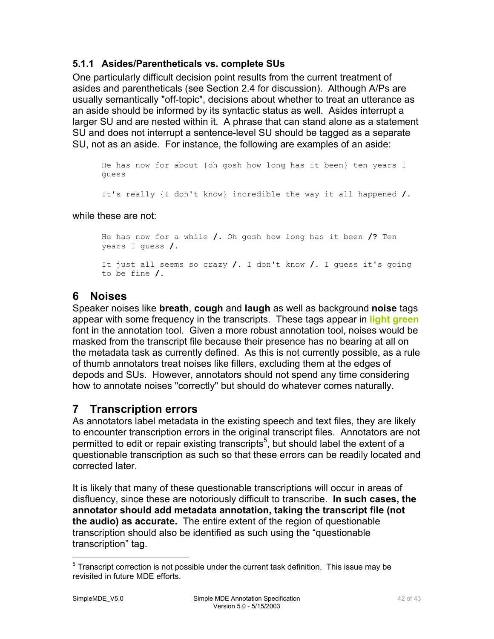### <span id="page-41-0"></span>**5.1.1 Asides/Parentheticals vs. complete SUs**

One particularly difficult decision point results from the current treatment of asides and parentheticals (see Section 2.4 for discussion). Although A/Ps are usually semantically "off-topic", decisions about whether to treat an utterance as an aside should be informed by its syntactic status as well. Asides interrupt a larger SU and are nested within it. A phrase that can stand alone as a statement SU and does not interrupt a sentence-level SU should be tagged as a separate SU, not as an aside. For instance, the following are examples of an aside:

He has now for about {oh gosh how long has it been} ten years I guess

It's really {I don't know} incredible the way it all happened **/.**

#### while these are not:

He has now for a while **/.** Oh gosh how long has it been **/?** Ten years I guess **/.**  It just all seems so crazy **/.** I don't know **/.** I guess it's going to be fine **/.**

**6 Noises** 

Speaker noises like **breath**, **cough** and **laugh** as well as background **noise** tags appear with some frequency in the transcripts. These tags appear in **light green** font in the annotation tool. Given a more robust annotation tool, noises would be masked from the transcript file because their presence has no bearing at all on the metadata task as currently defined. As this is not currently possible, as a rule of thumb annotators treat noises like fillers, excluding them at the edges of depods and SUs. However, annotators should not spend any time considering how to annotate noises "correctly" but should do whatever comes naturally.

# **7 Transcription errors**

As annotators label metadata in the existing speech and text files, they are likely to encounter transcription errors in the original transcript files. Annotators are not permitted to edit or repair existing transcripts<sup>[5](#page-41-1)</sup>, but should label the extent of a questionable transcription as such so that these errors can be readily located and corrected later.

It is likely that many of these questionable transcriptions will occur in areas of disfluency, since these are notoriously difficult to transcribe. **In such cases, the annotator should add metadata annotation, taking the transcript file (not the audio) as accurate.** The entire extent of the region of questionable transcription should also be identified as such using the "questionable transcription" tag.

<span id="page-41-1"></span> <sup>5</sup> Transcript correction is not possible under the current task definition. This issue may be revisited in future MDE efforts.